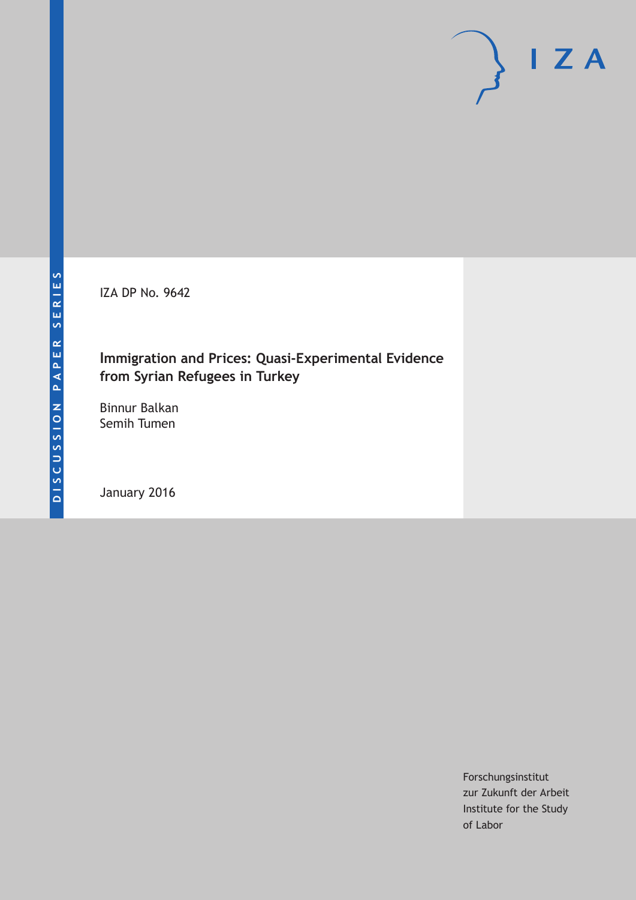IZA DP No. 9642

# **Immigration and Prices: Quasi-Experimental Evidence from Syrian Refugees in Turkey**

Binnur Balkan Semih Tumen

January 2016

Forschungsinstitut zur Zukunft der Arbeit Institute for the Study of Labor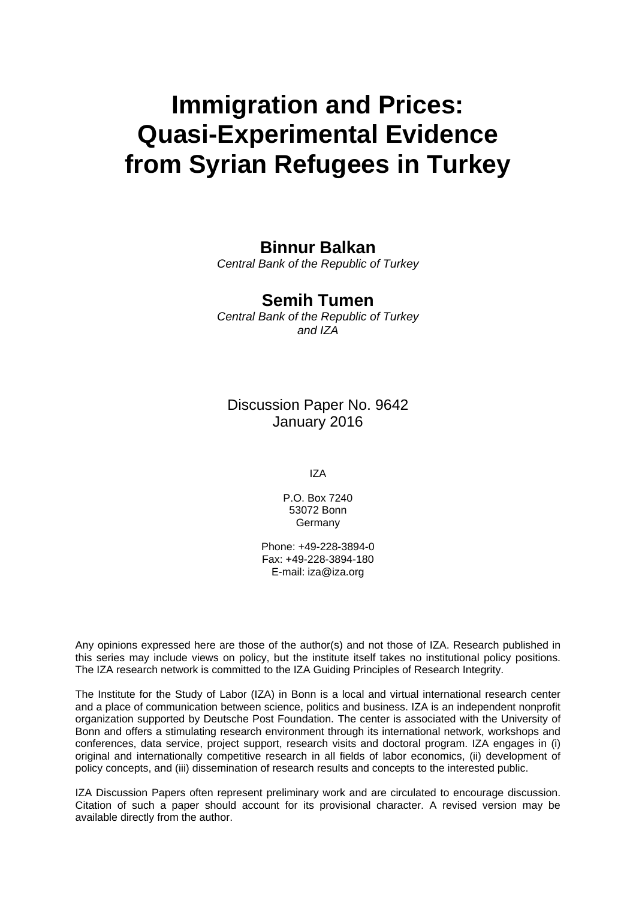# **Immigration and Prices: Quasi-Experimental Evidence from Syrian Refugees in Turkey**

# **Binnur Balkan**

*Central Bank of the Republic of Turkey* 

## **Semih Tumen**

*Central Bank of the Republic of Turkey and IZA* 

Discussion Paper No. 9642 January 2016

IZA

P.O. Box 7240 53072 Bonn Germany

Phone: +49-228-3894-0 Fax: +49-228-3894-180 E-mail: iza@iza.org

Any opinions expressed here are those of the author(s) and not those of IZA. Research published in this series may include views on policy, but the institute itself takes no institutional policy positions. The IZA research network is committed to the IZA Guiding Principles of Research Integrity.

The Institute for the Study of Labor (IZA) in Bonn is a local and virtual international research center and a place of communication between science, politics and business. IZA is an independent nonprofit organization supported by Deutsche Post Foundation. The center is associated with the University of Bonn and offers a stimulating research environment through its international network, workshops and conferences, data service, project support, research visits and doctoral program. IZA engages in (i) original and internationally competitive research in all fields of labor economics, (ii) development of policy concepts, and (iii) dissemination of research results and concepts to the interested public.

IZA Discussion Papers often represent preliminary work and are circulated to encourage discussion. Citation of such a paper should account for its provisional character. A revised version may be available directly from the author.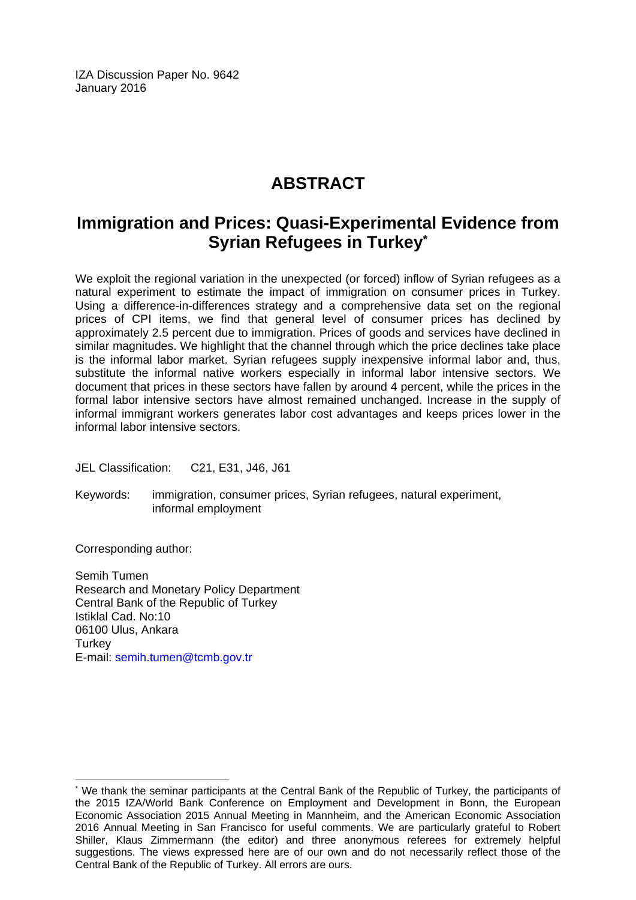IZA Discussion Paper No. 9642 January 2016

# **ABSTRACT**

# **Immigration and Prices: Quasi-Experimental Evidence from Syrian Refugees in Turkey\***

We exploit the regional variation in the unexpected (or forced) inflow of Syrian refugees as a natural experiment to estimate the impact of immigration on consumer prices in Turkey. Using a difference-in-differences strategy and a comprehensive data set on the regional prices of CPI items, we find that general level of consumer prices has declined by approximately 2.5 percent due to immigration. Prices of goods and services have declined in similar magnitudes. We highlight that the channel through which the price declines take place is the informal labor market. Syrian refugees supply inexpensive informal labor and, thus, substitute the informal native workers especially in informal labor intensive sectors. We document that prices in these sectors have fallen by around 4 percent, while the prices in the formal labor intensive sectors have almost remained unchanged. Increase in the supply of informal immigrant workers generates labor cost advantages and keeps prices lower in the informal labor intensive sectors.

JEL Classification: C21, E31, J46, J61

Keywords: immigration, consumer prices, Syrian refugees, natural experiment, informal employment

Corresponding author:

 $\overline{a}$ 

Semih Tumen Research and Monetary Policy Department Central Bank of the Republic of Turkey Istiklal Cad. No:10 06100 Ulus, Ankara **Turkey** E-mail: semih.tumen@tcmb.gov.tr

<sup>\*</sup> We thank the seminar participants at the Central Bank of the Republic of Turkey, the participants of the 2015 IZA/World Bank Conference on Employment and Development in Bonn, the European Economic Association 2015 Annual Meeting in Mannheim, and the American Economic Association 2016 Annual Meeting in San Francisco for useful comments. We are particularly grateful to Robert Shiller, Klaus Zimmermann (the editor) and three anonymous referees for extremely helpful suggestions. The views expressed here are of our own and do not necessarily reflect those of the Central Bank of the Republic of Turkey. All errors are ours.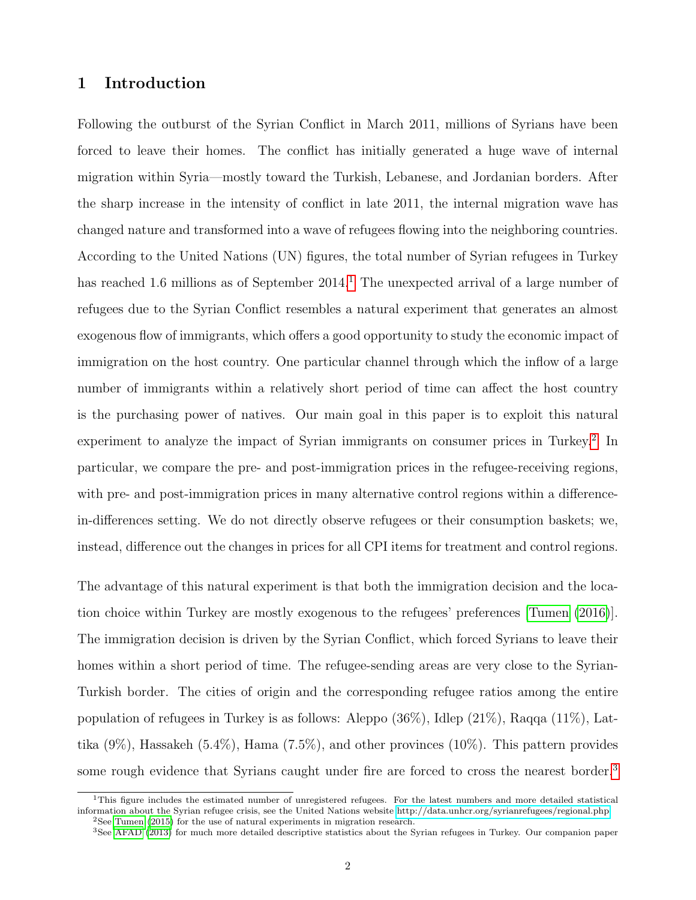### 1 Introduction

Following the outburst of the Syrian Conflict in March 2011, millions of Syrians have been forced to leave their homes. The conflict has initially generated a huge wave of internal migration within Syria—mostly toward the Turkish, Lebanese, and Jordanian borders. After the sharp increase in the intensity of conflict in late 2011, the internal migration wave has changed nature and transformed into a wave of refugees flowing into the neighboring countries. According to the United Nations (UN) figures, the total number of Syrian refugees in Turkey has reached [1](#page--1-0).6 millions as of September  $2014<sup>1</sup>$ . The unexpected arrival of a large number of refugees due to the Syrian Conflict resembles a natural experiment that generates an almost exogenous flow of immigrants, which offers a good opportunity to study the economic impact of immigration on the host country. One particular channel through which the inflow of a large number of immigrants within a relatively short period of time can affect the host country is the purchasing power of natives. Our main goal in this paper is to exploit this natural experiment to analyze the impact of Syrian immigrants on consumer prices in Turkey.<sup>[2](#page--1-0)</sup> In particular, we compare the pre- and post-immigration prices in the refugee-receiving regions, with pre- and post-immigration prices in many alternative control regions within a differencein-differences setting. We do not directly observe refugees or their consumption baskets; we, instead, difference out the changes in prices for all CPI items for treatment and control regions.

The advantage of this natural experiment is that both the immigration decision and the location choice within Turkey are mostly exogenous to the refugees' preferences [\[Tumen](#page-28-0) [\(2016\)](#page-28-0)]. The immigration decision is driven by the Syrian Conflict, which forced Syrians to leave their homes within a short period of time. The refugee-sending areas are very close to the Syrian-Turkish border. The cities of origin and the corresponding refugee ratios among the entire population of refugees in Turkey is as follows: Aleppo (36%), Idlep (21%), Raqqa (11%), Lattika  $(9\%)$ , Hassakeh  $(5.4\%)$ , Hama  $(7.5\%)$ , and other provinces  $(10\%)$ . This pattern provides some rough evidence that Syrians caught under fire are forced to cross the nearest border.<sup>[3](#page--1-0)</sup>

<sup>&</sup>lt;sup>1</sup>This figure includes the estimated number of unregistered refugees. For the latest numbers and more detailed statistical information about the Syrian refugee crisis, see the United Nations website [http://data.unhcr.org/syrianrefugees/regional.php.](http://data.unhcr.org/syrianrefugees/regional.php) <sup>2</sup>See [Tumen](#page-28-1) [\(2015\)](#page-28-1) for the use of natural experiments in migration research.

<sup>3</sup>See [AFAD](#page-26-0) [\(2013\)](#page-26-0) for much more detailed descriptive statistics about the Syrian refugees in Turkey. Our companion paper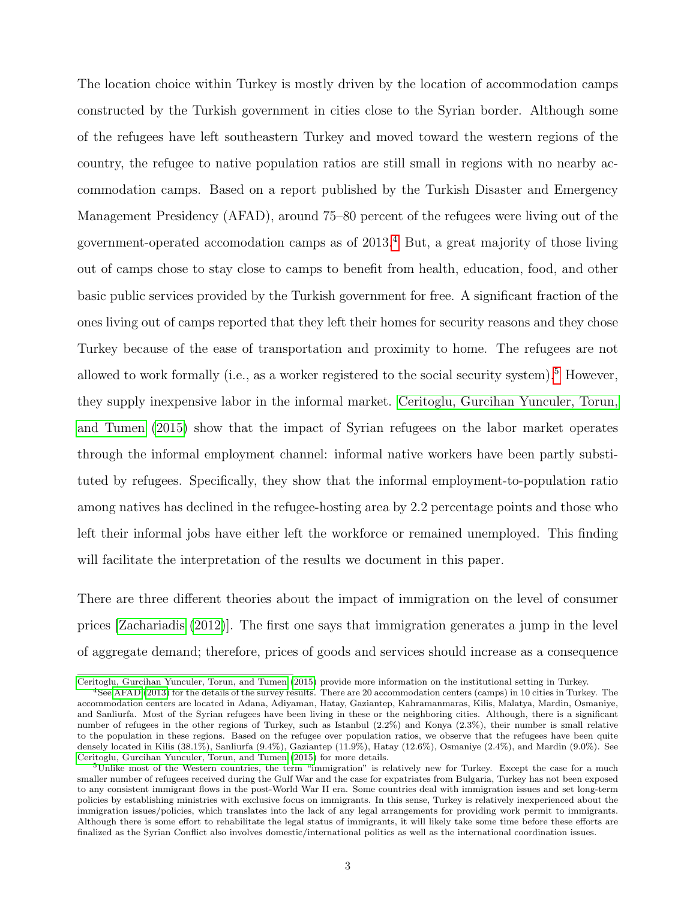The location choice within Turkey is mostly driven by the location of accommodation camps constructed by the Turkish government in cities close to the Syrian border. Although some of the refugees have left southeastern Turkey and moved toward the western regions of the country, the refugee to native population ratios are still small in regions with no nearby accommodation camps. Based on a report published by the Turkish Disaster and Emergency Management Presidency (AFAD), around 75–80 percent of the refugees were living out of the government-operated accomodation camps as of  $2013<sup>4</sup>$  $2013<sup>4</sup>$  $2013<sup>4</sup>$  But, a great majority of those living out of camps chose to stay close to camps to benefit from health, education, food, and other basic public services provided by the Turkish government for free. A significant fraction of the ones living out of camps reported that they left their homes for security reasons and they chose Turkey because of the ease of transportation and proximity to home. The refugees are not allowed to work formally (i.e., as a worker registered to the social security system).<sup>[5](#page--1-0)</sup> However, they supply inexpensive labor in the informal market. [Ceritoglu, Gurcihan Yunculer, Torun,](#page-26-1) [and Tumen](#page-26-1) [\(2015\)](#page-26-1) show that the impact of Syrian refugees on the labor market operates through the informal employment channel: informal native workers have been partly substituted by refugees. Specifically, they show that the informal employment-to-population ratio among natives has declined in the refugee-hosting area by 2.2 percentage points and those who left their informal jobs have either left the workforce or remained unemployed. This finding will facilitate the interpretation of the results we document in this paper.

There are three different theories about the impact of immigration on the level of consumer prices [\[Zachariadis](#page-28-2) [\(2012\)](#page-28-2)]. The first one says that immigration generates a jump in the level of aggregate demand; therefore, prices of goods and services should increase as a consequence

[Ceritoglu, Gurcihan Yunculer, Torun, and Tumen](#page-26-1) [\(2015\)](#page-26-1) provide more information on the institutional setting in Turkey.

<sup>4</sup>See [AFAD](#page-26-0) [\(2013\)](#page-26-0) for the details of the survey results. There are 20 accommodation centers (camps) in 10 cities in Turkey. The accommodation centers are located in Adana, Adiyaman, Hatay, Gaziantep, Kahramanmaras, Kilis, Malatya, Mardin, Osmaniye, and Sanliurfa. Most of the Syrian refugees have been living in these or the neighboring cities. Although, there is a significant number of refugees in the other regions of Turkey, such as Istanbul (2.2%) and Konya (2.3%), their number is small relative to the population in these regions. Based on the refugee over population ratios, we observe that the refugees have been quite densely located in Kilis (38.1%), Sanliurfa (9.4%), Gaziantep (11.9%), Hatay (12.6%), Osmaniye (2.4%), and Mardin (9.0%). See [Ceritoglu, Gurcihan Yunculer, Torun, and Tumen](#page-26-1) [\(2015\)](#page-26-1) for more details.

 $5$ Unlike most of the Western countries, the term "immigration" is relatively new for Turkey. Except the case for a much smaller number of refugees received during the Gulf War and the case for expatriates from Bulgaria, Turkey has not been exposed to any consistent immigrant flows in the post-World War II era. Some countries deal with immigration issues and set long-term policies by establishing ministries with exclusive focus on immigrants. In this sense, Turkey is relatively inexperienced about the immigration issues/policies, which translates into the lack of any legal arrangements for providing work permit to immigrants. Although there is some effort to rehabilitate the legal status of immigrants, it will likely take some time before these efforts are finalized as the Syrian Conflict also involves domestic/international politics as well as the international coordination issues.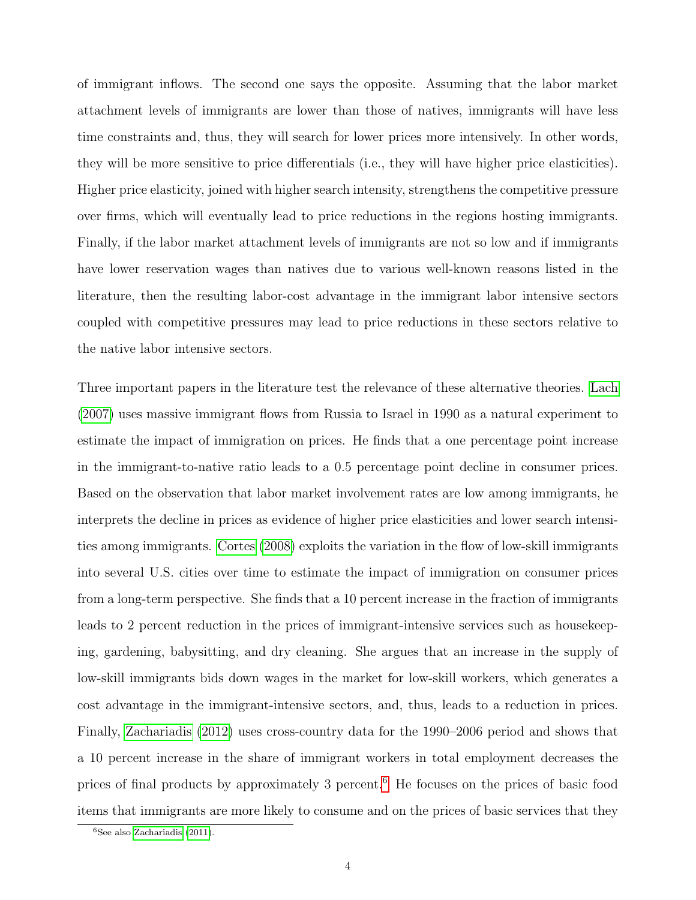of immigrant inflows. The second one says the opposite. Assuming that the labor market attachment levels of immigrants are lower than those of natives, immigrants will have less time constraints and, thus, they will search for lower prices more intensively. In other words, they will be more sensitive to price differentials (i.e., they will have higher price elasticities). Higher price elasticity, joined with higher search intensity, strengthens the competitive pressure over firms, which will eventually lead to price reductions in the regions hosting immigrants. Finally, if the labor market attachment levels of immigrants are not so low and if immigrants have lower reservation wages than natives due to various well-known reasons listed in the literature, then the resulting labor-cost advantage in the immigrant labor intensive sectors coupled with competitive pressures may lead to price reductions in these sectors relative to the native labor intensive sectors.

Three important papers in the literature test the relevance of these alternative theories. [Lach](#page-27-0) [\(2007\)](#page-27-0) uses massive immigrant flows from Russia to Israel in 1990 as a natural experiment to estimate the impact of immigration on prices. He finds that a one percentage point increase in the immigrant-to-native ratio leads to a 0.5 percentage point decline in consumer prices. Based on the observation that labor market involvement rates are low among immigrants, he interprets the decline in prices as evidence of higher price elasticities and lower search intensities among immigrants. [Cortes](#page-27-1) [\(2008\)](#page-27-1) exploits the variation in the flow of low-skill immigrants into several U.S. cities over time to estimate the impact of immigration on consumer prices from a long-term perspective. She finds that a 10 percent increase in the fraction of immigrants leads to 2 percent reduction in the prices of immigrant-intensive services such as housekeeping, gardening, babysitting, and dry cleaning. She argues that an increase in the supply of low-skill immigrants bids down wages in the market for low-skill workers, which generates a cost advantage in the immigrant-intensive sectors, and, thus, leads to a reduction in prices. Finally, [Zachariadis](#page-28-2) [\(2012\)](#page-28-2) uses cross-country data for the 1990–2006 period and shows that a 10 percent increase in the share of immigrant workers in total employment decreases the prices of final products by approximately 3 percent.[6](#page--1-0) He focuses on the prices of basic food items that immigrants are more likely to consume and on the prices of basic services that they

 ${}^{6}$ See also [Zachariadis](#page-28-3) [\(2011\)](#page-28-3).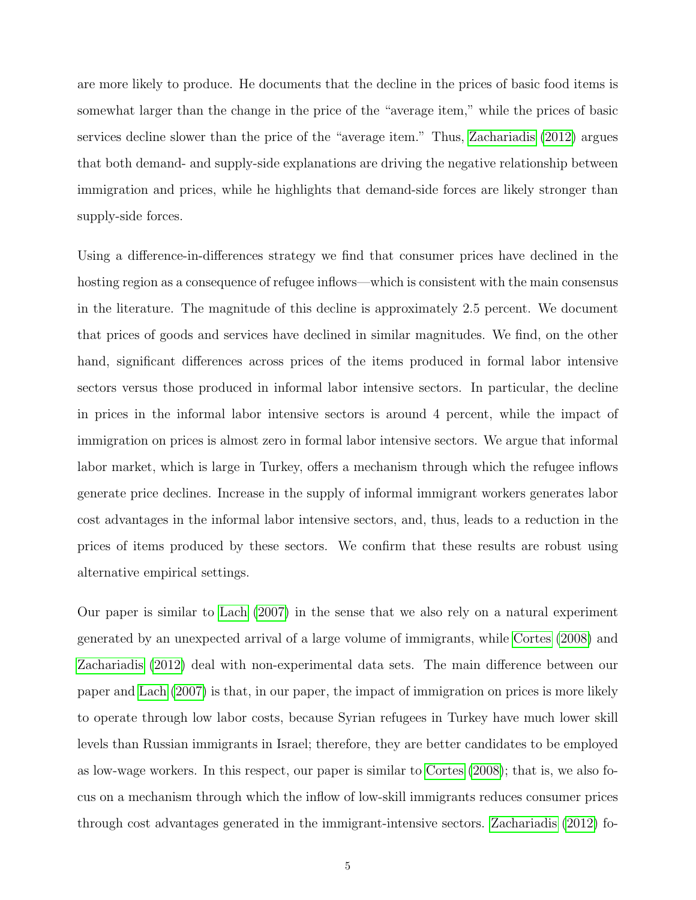are more likely to produce. He documents that the decline in the prices of basic food items is somewhat larger than the change in the price of the "average item," while the prices of basic services decline slower than the price of the "average item." Thus, [Zachariadis](#page-28-2) [\(2012\)](#page-28-2) argues that both demand- and supply-side explanations are driving the negative relationship between immigration and prices, while he highlights that demand-side forces are likely stronger than supply-side forces.

Using a difference-in-differences strategy we find that consumer prices have declined in the hosting region as a consequence of refugee inflows—which is consistent with the main consensus in the literature. The magnitude of this decline is approximately 2.5 percent. We document that prices of goods and services have declined in similar magnitudes. We find, on the other hand, significant differences across prices of the items produced in formal labor intensive sectors versus those produced in informal labor intensive sectors. In particular, the decline in prices in the informal labor intensive sectors is around 4 percent, while the impact of immigration on prices is almost zero in formal labor intensive sectors. We argue that informal labor market, which is large in Turkey, offers a mechanism through which the refugee inflows generate price declines. Increase in the supply of informal immigrant workers generates labor cost advantages in the informal labor intensive sectors, and, thus, leads to a reduction in the prices of items produced by these sectors. We confirm that these results are robust using alternative empirical settings.

Our paper is similar to [Lach](#page-27-0) [\(2007\)](#page-27-0) in the sense that we also rely on a natural experiment generated by an unexpected arrival of a large volume of immigrants, while [Cortes](#page-27-1) [\(2008\)](#page-27-1) and [Zachariadis](#page-28-2) [\(2012\)](#page-28-2) deal with non-experimental data sets. The main difference between our paper and [Lach](#page-27-0) [\(2007\)](#page-27-0) is that, in our paper, the impact of immigration on prices is more likely to operate through low labor costs, because Syrian refugees in Turkey have much lower skill levels than Russian immigrants in Israel; therefore, they are better candidates to be employed as low-wage workers. In this respect, our paper is similar to [Cortes](#page-27-1) [\(2008\)](#page-27-1); that is, we also focus on a mechanism through which the inflow of low-skill immigrants reduces consumer prices through cost advantages generated in the immigrant-intensive sectors. [Zachariadis](#page-28-2) [\(2012\)](#page-28-2) fo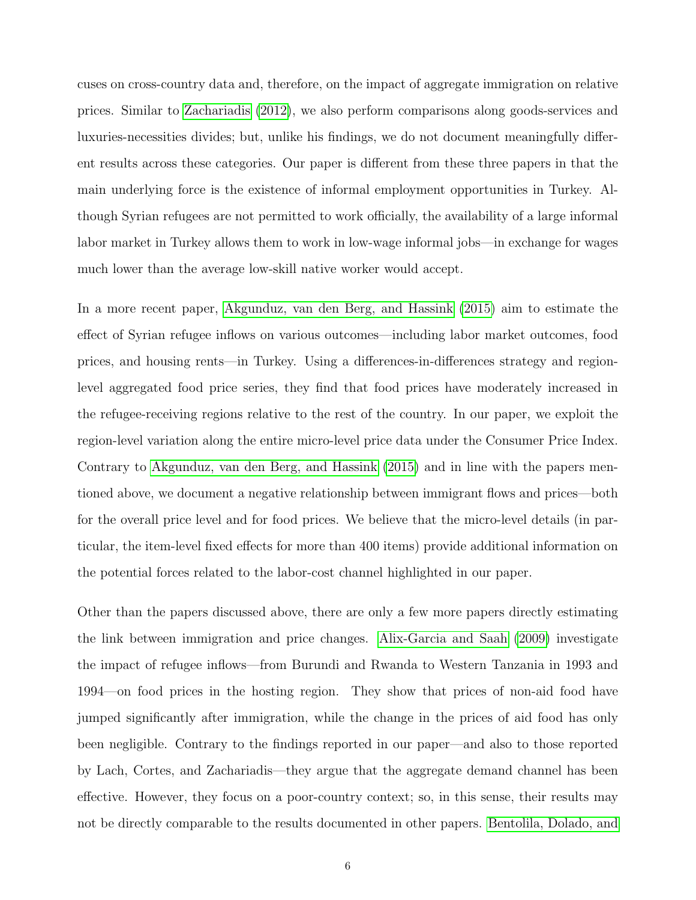cuses on cross-country data and, therefore, on the impact of aggregate immigration on relative prices. Similar to [Zachariadis](#page-28-2) [\(2012\)](#page-28-2), we also perform comparisons along goods-services and luxuries-necessities divides; but, unlike his findings, we do not document meaningfully different results across these categories. Our paper is different from these three papers in that the main underlying force is the existence of informal employment opportunities in Turkey. Although Syrian refugees are not permitted to work officially, the availability of a large informal labor market in Turkey allows them to work in low-wage informal jobs—in exchange for wages much lower than the average low-skill native worker would accept.

In a more recent paper, [Akgunduz, van den Berg, and Hassink](#page-26-2) [\(2015\)](#page-26-2) aim to estimate the effect of Syrian refugee inflows on various outcomes—including labor market outcomes, food prices, and housing rents—in Turkey. Using a differences-in-differences strategy and regionlevel aggregated food price series, they find that food prices have moderately increased in the refugee-receiving regions relative to the rest of the country. In our paper, we exploit the region-level variation along the entire micro-level price data under the Consumer Price Index. Contrary to [Akgunduz, van den Berg, and Hassink](#page-26-2) [\(2015\)](#page-26-2) and in line with the papers mentioned above, we document a negative relationship between immigrant flows and prices—both for the overall price level and for food prices. We believe that the micro-level details (in particular, the item-level fixed effects for more than 400 items) provide additional information on the potential forces related to the labor-cost channel highlighted in our paper.

Other than the papers discussed above, there are only a few more papers directly estimating the link between immigration and price changes. [Alix-Garcia and Saah](#page-26-3) [\(2009\)](#page-26-3) investigate the impact of refugee inflows—from Burundi and Rwanda to Western Tanzania in 1993 and 1994—on food prices in the hosting region. They show that prices of non-aid food have jumped significantly after immigration, while the change in the prices of aid food has only been negligible. Contrary to the findings reported in our paper—and also to those reported by Lach, Cortes, and Zachariadis—they argue that the aggregate demand channel has been effective. However, they focus on a poor-country context; so, in this sense, their results may not be directly comparable to the results documented in other papers. [Bentolila, Dolado, and](#page-26-4)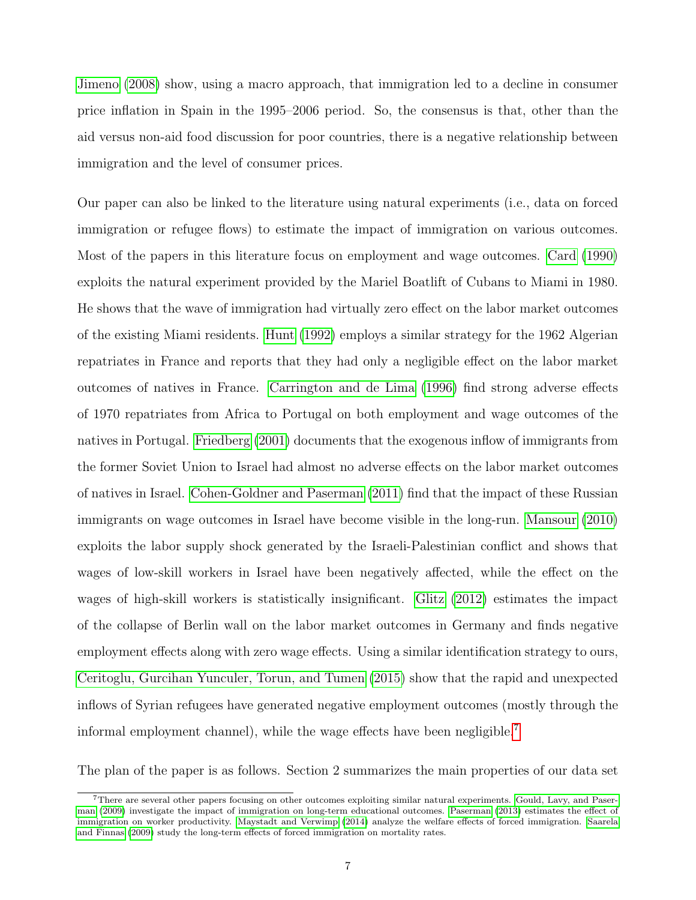[Jimeno](#page-26-4) [\(2008\)](#page-26-4) show, using a macro approach, that immigration led to a decline in consumer price inflation in Spain in the 1995–2006 period. So, the consensus is that, other than the aid versus non-aid food discussion for poor countries, there is a negative relationship between immigration and the level of consumer prices.

Our paper can also be linked to the literature using natural experiments (i.e., data on forced immigration or refugee flows) to estimate the impact of immigration on various outcomes. Most of the papers in this literature focus on employment and wage outcomes. [Card](#page-26-5) [\(1990\)](#page-26-5) exploits the natural experiment provided by the Mariel Boatlift of Cubans to Miami in 1980. He shows that the wave of immigration had virtually zero effect on the labor market outcomes of the existing Miami residents. [Hunt](#page-27-2) [\(1992\)](#page-27-2) employs a similar strategy for the 1962 Algerian repatriates in France and reports that they had only a negligible effect on the labor market outcomes of natives in France. [Carrington and de Lima](#page-26-6) [\(1996\)](#page-26-6) find strong adverse effects of 1970 repatriates from Africa to Portugal on both employment and wage outcomes of the natives in Portugal. [Friedberg](#page-27-3) [\(2001\)](#page-27-3) documents that the exogenous inflow of immigrants from the former Soviet Union to Israel had almost no adverse effects on the labor market outcomes of natives in Israel. [Cohen-Goldner and Paserman](#page-27-4) [\(2011\)](#page-27-4) find that the impact of these Russian immigrants on wage outcomes in Israel have become visible in the long-run. [Mansour](#page-27-5) [\(2010\)](#page-27-5) exploits the labor supply shock generated by the Israeli-Palestinian conflict and shows that wages of low-skill workers in Israel have been negatively affected, while the effect on the wages of high-skill workers is statistically insignificant. [Glitz](#page-27-6) [\(2012\)](#page-27-6) estimates the impact of the collapse of Berlin wall on the labor market outcomes in Germany and finds negative employment effects along with zero wage effects. Using a similar identification strategy to ours, [Ceritoglu, Gurcihan Yunculer, Torun, and Tumen](#page-26-1) [\(2015\)](#page-26-1) show that the rapid and unexpected inflows of Syrian refugees have generated negative employment outcomes (mostly through the informal employment channel), while the wage effects have been negligible.<sup>[7](#page--1-0)</sup>

The plan of the paper is as follows. Section 2 summarizes the main properties of our data set

<sup>7</sup>There are several other papers focusing on other outcomes exploiting similar natural experiments. [Gould, Lavy, and Paser](#page-27-7)[man](#page-27-7) [\(2009\)](#page-27-7) investigate the impact of immigration on long-term educational outcomes. [Paserman](#page-28-4) [\(2013\)](#page-28-4) estimates the effect of immigration on worker productivity. [Maystadt and Verwimp](#page-27-8) [\(2014\)](#page-27-8) analyze the welfare effects of forced immigration. [Saarela](#page-28-5) [and Finnas](#page-28-5) [\(2009\)](#page-28-5) study the long-term effects of forced immigration on mortality rates.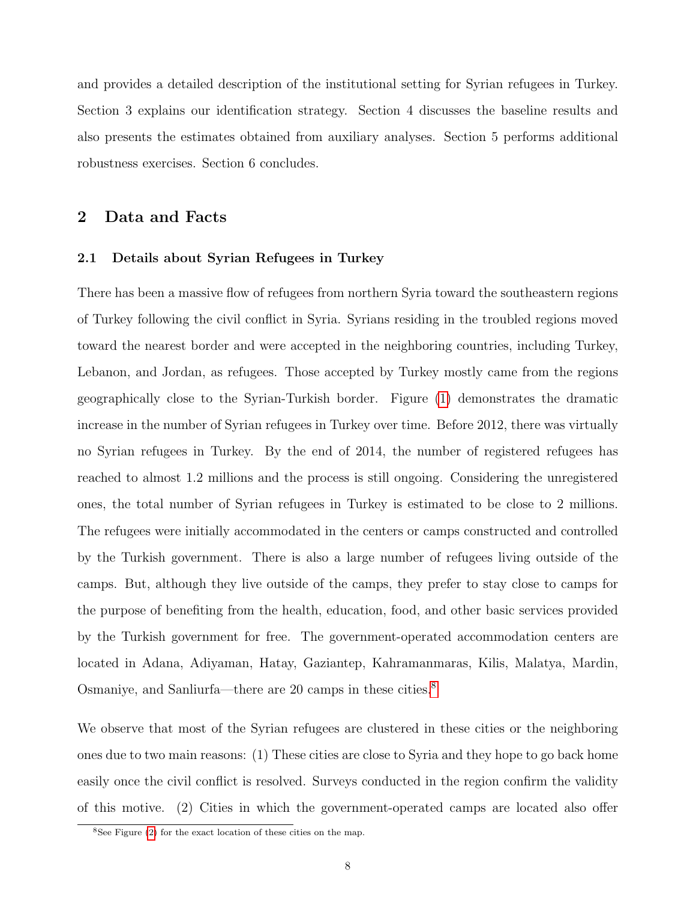and provides a detailed description of the institutional setting for Syrian refugees in Turkey. Section 3 explains our identification strategy. Section 4 discusses the baseline results and also presents the estimates obtained from auxiliary analyses. Section 5 performs additional robustness exercises. Section 6 concludes.

#### 2 Data and Facts

#### 2.1 Details about Syrian Refugees in Turkey

There has been a massive flow of refugees from northern Syria toward the southeastern regions of Turkey following the civil conflict in Syria. Syrians residing in the troubled regions moved toward the nearest border and were accepted in the neighboring countries, including Turkey, Lebanon, and Jordan, as refugees. Those accepted by Turkey mostly came from the regions geographically close to the Syrian-Turkish border. Figure [\(1\)](#page-29-0) demonstrates the dramatic increase in the number of Syrian refugees in Turkey over time. Before 2012, there was virtually no Syrian refugees in Turkey. By the end of 2014, the number of registered refugees has reached to almost 1.2 millions and the process is still ongoing. Considering the unregistered ones, the total number of Syrian refugees in Turkey is estimated to be close to 2 millions. The refugees were initially accommodated in the centers or camps constructed and controlled by the Turkish government. There is also a large number of refugees living outside of the camps. But, although they live outside of the camps, they prefer to stay close to camps for the purpose of benefiting from the health, education, food, and other basic services provided by the Turkish government for free. The government-operated accommodation centers are located in Adana, Adiyaman, Hatay, Gaziantep, Kahramanmaras, Kilis, Malatya, Mardin, Osmaniye, and Sanliurfa—there are 20 camps in these cities.[8](#page--1-0)

We observe that most of the Syrian refugees are clustered in these cities or the neighboring ones due to two main reasons: (1) These cities are close to Syria and they hope to go back home easily once the civil conflict is resolved. Surveys conducted in the region confirm the validity of this motive. (2) Cities in which the government-operated camps are located also offer

 $8$ See Figure [\(2\)](#page-29-1) for the exact location of these cities on the map.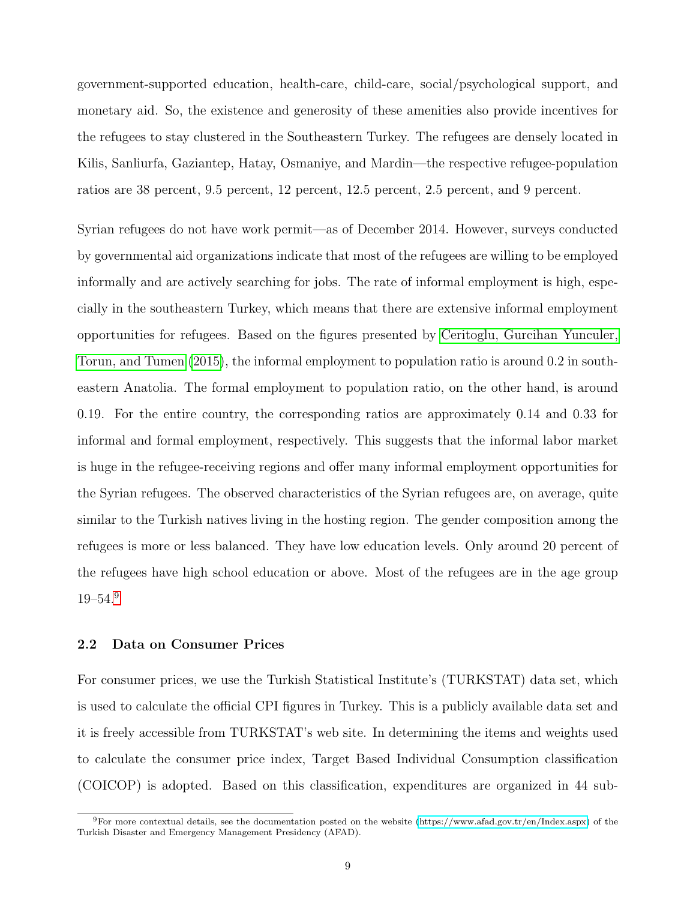government-supported education, health-care, child-care, social/psychological support, and monetary aid. So, the existence and generosity of these amenities also provide incentives for the refugees to stay clustered in the Southeastern Turkey. The refugees are densely located in Kilis, Sanliurfa, Gaziantep, Hatay, Osmaniye, and Mardin—the respective refugee-population ratios are 38 percent, 9.5 percent, 12 percent, 12.5 percent, 2.5 percent, and 9 percent.

Syrian refugees do not have work permit—as of December 2014. However, surveys conducted by governmental aid organizations indicate that most of the refugees are willing to be employed informally and are actively searching for jobs. The rate of informal employment is high, especially in the southeastern Turkey, which means that there are extensive informal employment opportunities for refugees. Based on the figures presented by [Ceritoglu, Gurcihan Yunculer,](#page-26-1) [Torun, and Tumen](#page-26-1) [\(2015\)](#page-26-1), the informal employment to population ratio is around 0.2 in southeastern Anatolia. The formal employment to population ratio, on the other hand, is around 0.19. For the entire country, the corresponding ratios are approximately 0.14 and 0.33 for informal and formal employment, respectively. This suggests that the informal labor market is huge in the refugee-receiving regions and offer many informal employment opportunities for the Syrian refugees. The observed characteristics of the Syrian refugees are, on average, quite similar to the Turkish natives living in the hosting region. The gender composition among the refugees is more or less balanced. They have low education levels. Only around 20 percent of the refugees have high school education or above. Most of the refugees are in the age group 19–54.[9](#page--1-0)

#### 2.2 Data on Consumer Prices

For consumer prices, we use the Turkish Statistical Institute's (TURKSTAT) data set, which is used to calculate the official CPI figures in Turkey. This is a publicly available data set and it is freely accessible from TURKSTAT's web site. In determining the items and weights used to calculate the consumer price index, Target Based Individual Consumption classification (COICOP) is adopted. Based on this classification, expenditures are organized in 44 sub-

 $^{9}$ For more contextual details, see the documentation posted on the website [\(https://www.afad.gov.tr/en/Index.aspx\)](https://www.afad.gov.tr/en/Index.aspx) of the Turkish Disaster and Emergency Management Presidency (AFAD).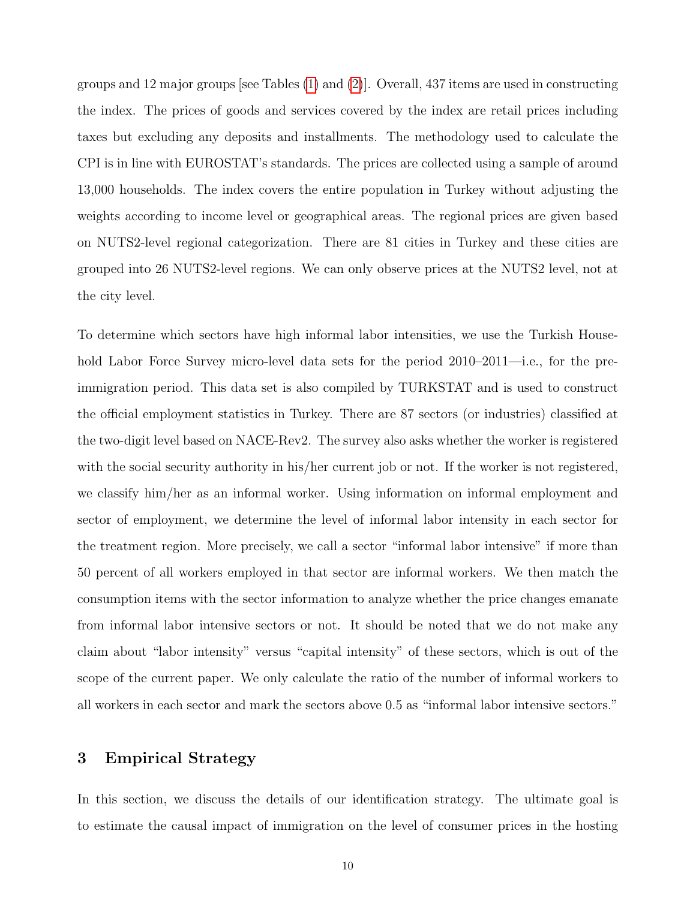groups and 12 major groups [see Tables [\(1\)](#page-31-0) and [\(2\)](#page-32-0)]. Overall, 437 items are used in constructing the index. The prices of goods and services covered by the index are retail prices including taxes but excluding any deposits and installments. The methodology used to calculate the CPI is in line with EUROSTAT's standards. The prices are collected using a sample of around 13,000 households. The index covers the entire population in Turkey without adjusting the weights according to income level or geographical areas. The regional prices are given based on NUTS2-level regional categorization. There are 81 cities in Turkey and these cities are grouped into 26 NUTS2-level regions. We can only observe prices at the NUTS2 level, not at the city level.

To determine which sectors have high informal labor intensities, we use the Turkish Household Labor Force Survey micro-level data sets for the period 2010–2011—i.e., for the preimmigration period. This data set is also compiled by TURKSTAT and is used to construct the official employment statistics in Turkey. There are 87 sectors (or industries) classified at the two-digit level based on NACE-Rev2. The survey also asks whether the worker is registered with the social security authority in his/her current job or not. If the worker is not registered, we classify him/her as an informal worker. Using information on informal employment and sector of employment, we determine the level of informal labor intensity in each sector for the treatment region. More precisely, we call a sector "informal labor intensive" if more than 50 percent of all workers employed in that sector are informal workers. We then match the consumption items with the sector information to analyze whether the price changes emanate from informal labor intensive sectors or not. It should be noted that we do not make any claim about "labor intensity" versus "capital intensity" of these sectors, which is out of the scope of the current paper. We only calculate the ratio of the number of informal workers to all workers in each sector and mark the sectors above 0.5 as "informal labor intensive sectors."

### 3 Empirical Strategy

In this section, we discuss the details of our identification strategy. The ultimate goal is to estimate the causal impact of immigration on the level of consumer prices in the hosting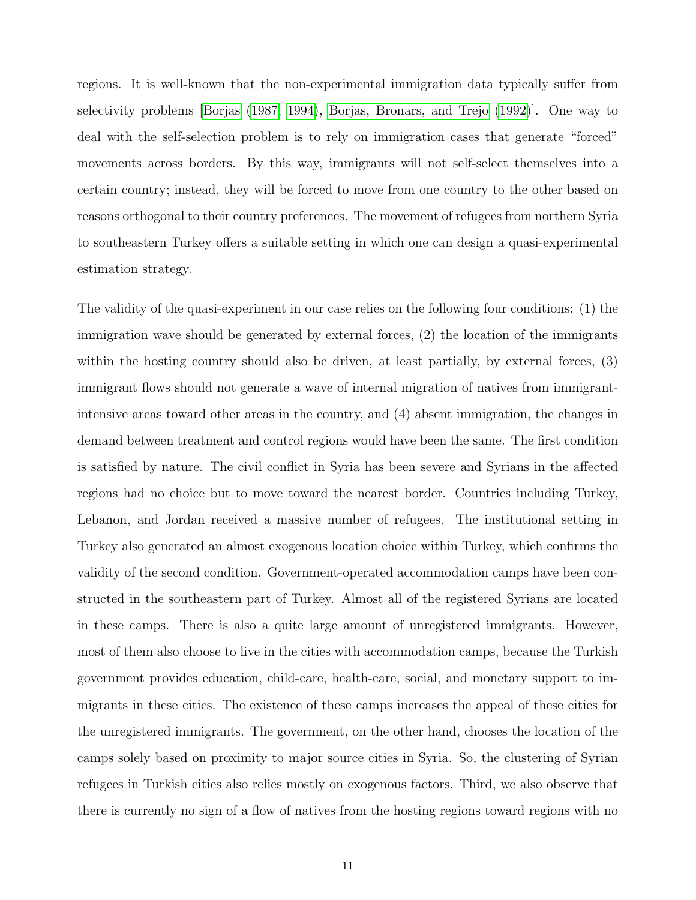regions. It is well-known that the non-experimental immigration data typically suffer from selectivity problems [\[Borjas](#page-26-7) [\(1987,](#page-26-7) [1994\)](#page-26-8), [Borjas, Bronars, and Trejo](#page-26-9) [\(1992\)](#page-26-9)]. One way to deal with the self-selection problem is to rely on immigration cases that generate "forced" movements across borders. By this way, immigrants will not self-select themselves into a certain country; instead, they will be forced to move from one country to the other based on reasons orthogonal to their country preferences. The movement of refugees from northern Syria to southeastern Turkey offers a suitable setting in which one can design a quasi-experimental estimation strategy.

The validity of the quasi-experiment in our case relies on the following four conditions: (1) the immigration wave should be generated by external forces, (2) the location of the immigrants within the hosting country should also be driven, at least partially, by external forces, (3) immigrant flows should not generate a wave of internal migration of natives from immigrantintensive areas toward other areas in the country, and (4) absent immigration, the changes in demand between treatment and control regions would have been the same. The first condition is satisfied by nature. The civil conflict in Syria has been severe and Syrians in the affected regions had no choice but to move toward the nearest border. Countries including Turkey, Lebanon, and Jordan received a massive number of refugees. The institutional setting in Turkey also generated an almost exogenous location choice within Turkey, which confirms the validity of the second condition. Government-operated accommodation camps have been constructed in the southeastern part of Turkey. Almost all of the registered Syrians are located in these camps. There is also a quite large amount of unregistered immigrants. However, most of them also choose to live in the cities with accommodation camps, because the Turkish government provides education, child-care, health-care, social, and monetary support to immigrants in these cities. The existence of these camps increases the appeal of these cities for the unregistered immigrants. The government, on the other hand, chooses the location of the camps solely based on proximity to major source cities in Syria. So, the clustering of Syrian refugees in Turkish cities also relies mostly on exogenous factors. Third, we also observe that there is currently no sign of a flow of natives from the hosting regions toward regions with no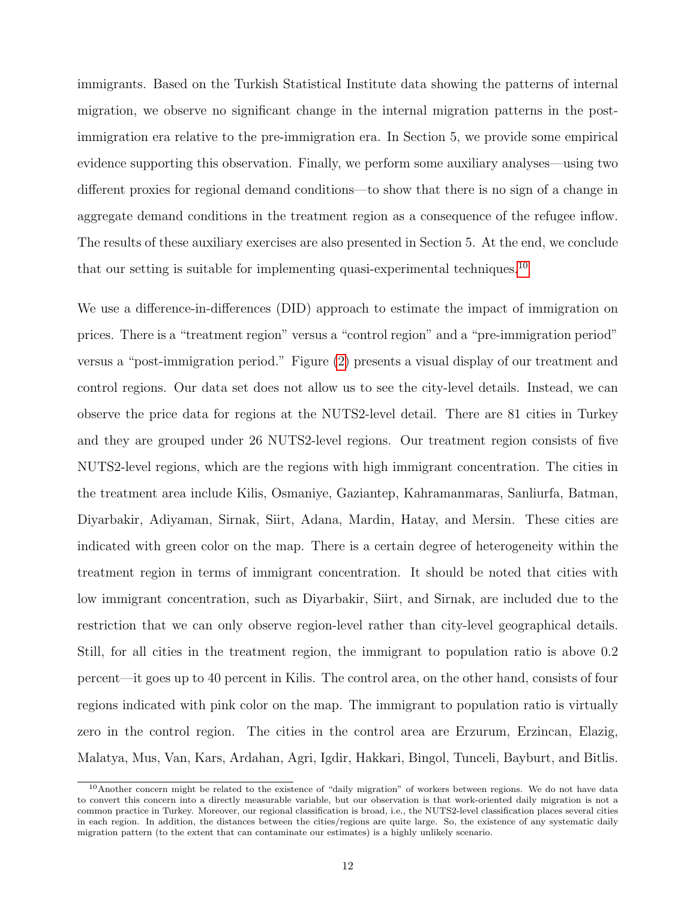immigrants. Based on the Turkish Statistical Institute data showing the patterns of internal migration, we observe no significant change in the internal migration patterns in the postimmigration era relative to the pre-immigration era. In Section 5, we provide some empirical evidence supporting this observation. Finally, we perform some auxiliary analyses—using two different proxies for regional demand conditions—to show that there is no sign of a change in aggregate demand conditions in the treatment region as a consequence of the refugee inflow. The results of these auxiliary exercises are also presented in Section 5. At the end, we conclude that our setting is suitable for implementing quasi-experimental techniques.<sup>[10](#page--1-0)</sup>

We use a difference-in-differences (DID) approach to estimate the impact of immigration on prices. There is a "treatment region" versus a "control region" and a "pre-immigration period" versus a "post-immigration period." Figure [\(2\)](#page-29-1) presents a visual display of our treatment and control regions. Our data set does not allow us to see the city-level details. Instead, we can observe the price data for regions at the NUTS2-level detail. There are 81 cities in Turkey and they are grouped under 26 NUTS2-level regions. Our treatment region consists of five NUTS2-level regions, which are the regions with high immigrant concentration. The cities in the treatment area include Kilis, Osmaniye, Gaziantep, Kahramanmaras, Sanliurfa, Batman, Diyarbakir, Adiyaman, Sirnak, Siirt, Adana, Mardin, Hatay, and Mersin. These cities are indicated with green color on the map. There is a certain degree of heterogeneity within the treatment region in terms of immigrant concentration. It should be noted that cities with low immigrant concentration, such as Diyarbakir, Siirt, and Sirnak, are included due to the restriction that we can only observe region-level rather than city-level geographical details. Still, for all cities in the treatment region, the immigrant to population ratio is above 0.2 percent—it goes up to 40 percent in Kilis. The control area, on the other hand, consists of four regions indicated with pink color on the map. The immigrant to population ratio is virtually zero in the control region. The cities in the control area are Erzurum, Erzincan, Elazig, Malatya, Mus, Van, Kars, Ardahan, Agri, Igdir, Hakkari, Bingol, Tunceli, Bayburt, and Bitlis.

 $10$ Another concern might be related to the existence of "daily migration" of workers between regions. We do not have data to convert this concern into a directly measurable variable, but our observation is that work-oriented daily migration is not a common practice in Turkey. Moreover, our regional classification is broad, i.e., the NUTS2-level classification places several cities in each region. In addition, the distances between the cities/regions are quite large. So, the existence of any systematic daily migration pattern (to the extent that can contaminate our estimates) is a highly unlikely scenario.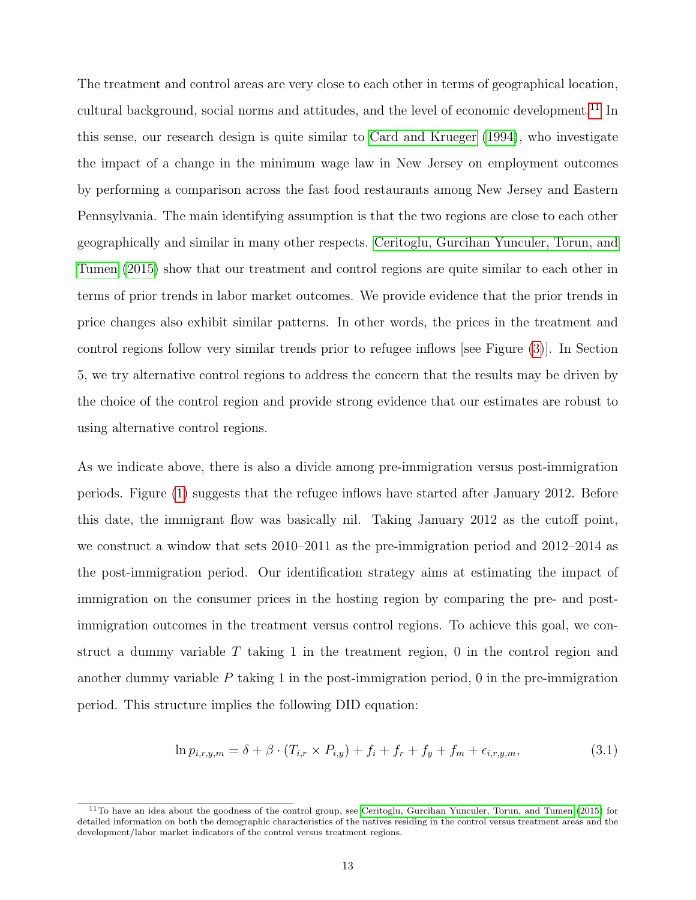The treatment and control areas are very close to each other in terms of geographical location, cultural background, social norms and attitudes, and the level of economic development.<sup>[11](#page--1-0)</sup> In this sense, our research design is quite similar to [Card and Krueger](#page-26-10) [\(1994\)](#page-26-10), who investigate the impact of a change in the minimum wage law in New Jersey on employment outcomes by performing a comparison across the fast food restaurants among New Jersey and Eastern Pennsylvania. The main identifying assumption is that the two regions are close to each other geographically and similar in many other respects. [Ceritoglu, Gurcihan Yunculer, Torun, and](#page-26-1) [Tumen](#page-26-1) [\(2015\)](#page-26-1) show that our treatment and control regions are quite similar to each other in terms of prior trends in labor market outcomes. We provide evidence that the prior trends in price changes also exhibit similar patterns. In other words, the prices in the treatment and control regions follow very similar trends prior to refugee inflows [see Figure [\(3\)](#page-30-0)]. In Section 5, we try alternative control regions to address the concern that the results may be driven by the choice of the control region and provide strong evidence that our estimates are robust to using alternative control regions.

As we indicate above, there is also a divide among pre-immigration versus post-immigration periods. Figure [\(1\)](#page-29-0) suggests that the refugee inflows have started after January 2012. Before this date, the immigrant flow was basically nil. Taking January 2012 as the cutoff point, we construct a window that sets 2010–2011 as the pre-immigration period and 2012–2014 as the post-immigration period. Our identification strategy aims at estimating the impact of immigration on the consumer prices in the hosting region by comparing the pre- and postimmigration outcomes in the treatment versus control regions. To achieve this goal, we construct a dummy variable  $T$  taking 1 in the treatment region, 0 in the control region and another dummy variable  $P$  taking 1 in the post-immigration period, 0 in the pre-immigration period. This structure implies the following DID equation:

$$
\ln p_{i,r,y,m} = \delta + \beta \cdot (T_{i,r} \times P_{i,y}) + f_i + f_r + f_y + f_m + \epsilon_{i,r,y,m}, \tag{3.1}
$$

<sup>11</sup>To have an idea about the goodness of the control group, see [Ceritoglu, Gurcihan Yunculer, Torun, and Tumen](#page-26-1) [\(2015\)](#page-26-1) for detailed information on both the demographic characteristics of the natives residing in the control versus treatment areas and the development/labor market indicators of the control versus treatment regions.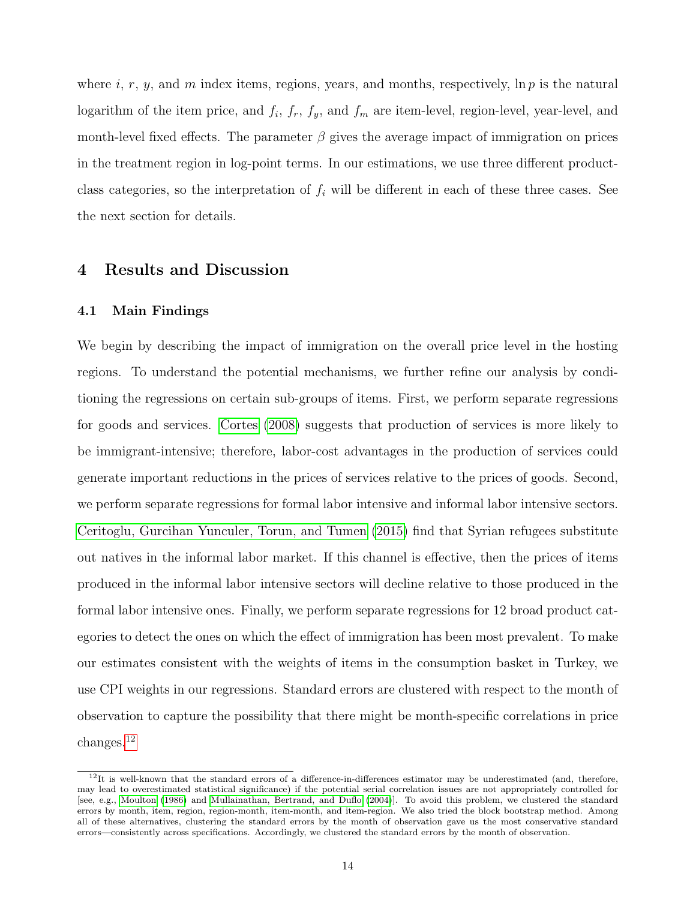where  $i, r, y$ , and  $m$  index items, regions, years, and months, respectively,  $\ln p$  is the natural logarithm of the item price, and  $f_i$ ,  $f_r$ ,  $f_y$ , and  $f_m$  are item-level, region-level, year-level, and month-level fixed effects. The parameter  $\beta$  gives the average impact of immigration on prices in the treatment region in log-point terms. In our estimations, we use three different productclass categories, so the interpretation of  $f_i$  will be different in each of these three cases. See the next section for details.

#### 4 Results and Discussion

#### 4.1 Main Findings

We begin by describing the impact of immigration on the overall price level in the hosting regions. To understand the potential mechanisms, we further refine our analysis by conditioning the regressions on certain sub-groups of items. First, we perform separate regressions for goods and services. [Cortes](#page-27-1) [\(2008\)](#page-27-1) suggests that production of services is more likely to be immigrant-intensive; therefore, labor-cost advantages in the production of services could generate important reductions in the prices of services relative to the prices of goods. Second, we perform separate regressions for formal labor intensive and informal labor intensive sectors. [Ceritoglu, Gurcihan Yunculer, Torun, and Tumen](#page-26-1) [\(2015\)](#page-26-1) find that Syrian refugees substitute out natives in the informal labor market. If this channel is effective, then the prices of items produced in the informal labor intensive sectors will decline relative to those produced in the formal labor intensive ones. Finally, we perform separate regressions for 12 broad product categories to detect the ones on which the effect of immigration has been most prevalent. To make our estimates consistent with the weights of items in the consumption basket in Turkey, we use CPI weights in our regressions. Standard errors are clustered with respect to the month of observation to capture the possibility that there might be month-specific correlations in price changes.[12](#page--1-0)

 $12$ It is well-known that the standard errors of a difference-in-differences estimator may be underestimated (and, therefore, may lead to overestimated statistical significance) if the potential serial correlation issues are not appropriately controlled for [see, e.g., [Moulton](#page-27-9) [\(1986\)](#page-27-9) and [Mullainathan, Bertrand, and Duflo](#page-27-10) [\(2004\)](#page-27-10)]. To avoid this problem, we clustered the standard errors by month, item, region, region-month, item-month, and item-region. We also tried the block bootstrap method. Among all of these alternatives, clustering the standard errors by the month of observation gave us the most conservative standard errors—consistently across specifications. Accordingly, we clustered the standard errors by the month of observation.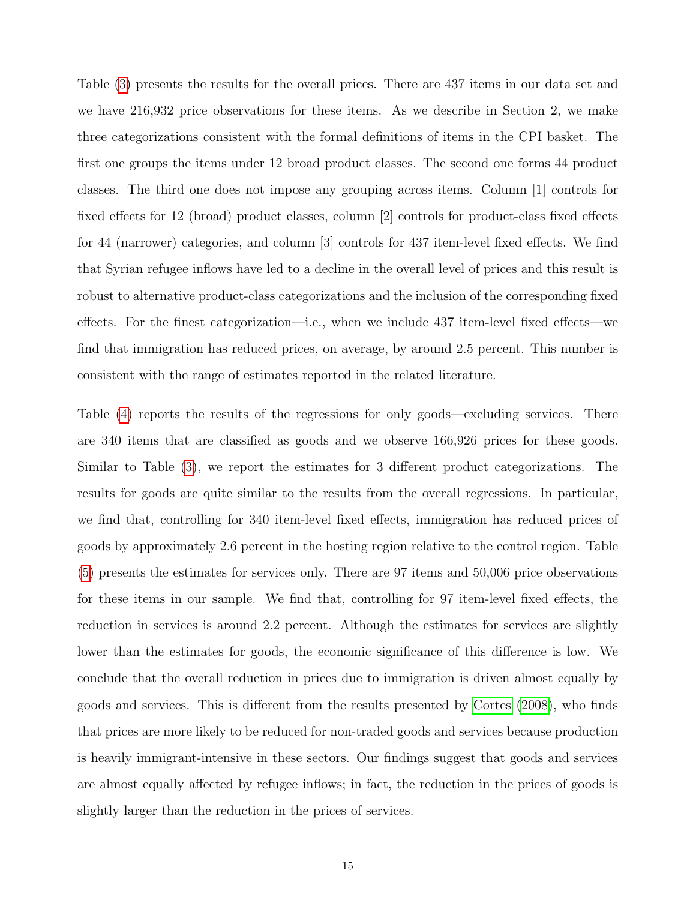Table [\(3\)](#page-33-0) presents the results for the overall prices. There are 437 items in our data set and we have 216,932 price observations for these items. As we describe in Section 2, we make three categorizations consistent with the formal definitions of items in the CPI basket. The first one groups the items under 12 broad product classes. The second one forms 44 product classes. The third one does not impose any grouping across items. Column [1] controls for fixed effects for 12 (broad) product classes, column [2] controls for product-class fixed effects for 44 (narrower) categories, and column [3] controls for 437 item-level fixed effects. We find that Syrian refugee inflows have led to a decline in the overall level of prices and this result is robust to alternative product-class categorizations and the inclusion of the corresponding fixed effects. For the finest categorization—i.e., when we include 437 item-level fixed effects—we find that immigration has reduced prices, on average, by around 2.5 percent. This number is consistent with the range of estimates reported in the related literature.

Table [\(4\)](#page-33-1) reports the results of the regressions for only goods—excluding services. There are 340 items that are classified as goods and we observe 166,926 prices for these goods. Similar to Table [\(3\)](#page-33-0), we report the estimates for 3 different product categorizations. The results for goods are quite similar to the results from the overall regressions. In particular, we find that, controlling for 340 item-level fixed effects, immigration has reduced prices of goods by approximately 2.6 percent in the hosting region relative to the control region. Table [\(5\)](#page-34-0) presents the estimates for services only. There are 97 items and 50,006 price observations for these items in our sample. We find that, controlling for 97 item-level fixed effects, the reduction in services is around 2.2 percent. Although the estimates for services are slightly lower than the estimates for goods, the economic significance of this difference is low. We conclude that the overall reduction in prices due to immigration is driven almost equally by goods and services. This is different from the results presented by [Cortes](#page-27-1) [\(2008\)](#page-27-1), who finds that prices are more likely to be reduced for non-traded goods and services because production is heavily immigrant-intensive in these sectors. Our findings suggest that goods and services are almost equally affected by refugee inflows; in fact, the reduction in the prices of goods is slightly larger than the reduction in the prices of services.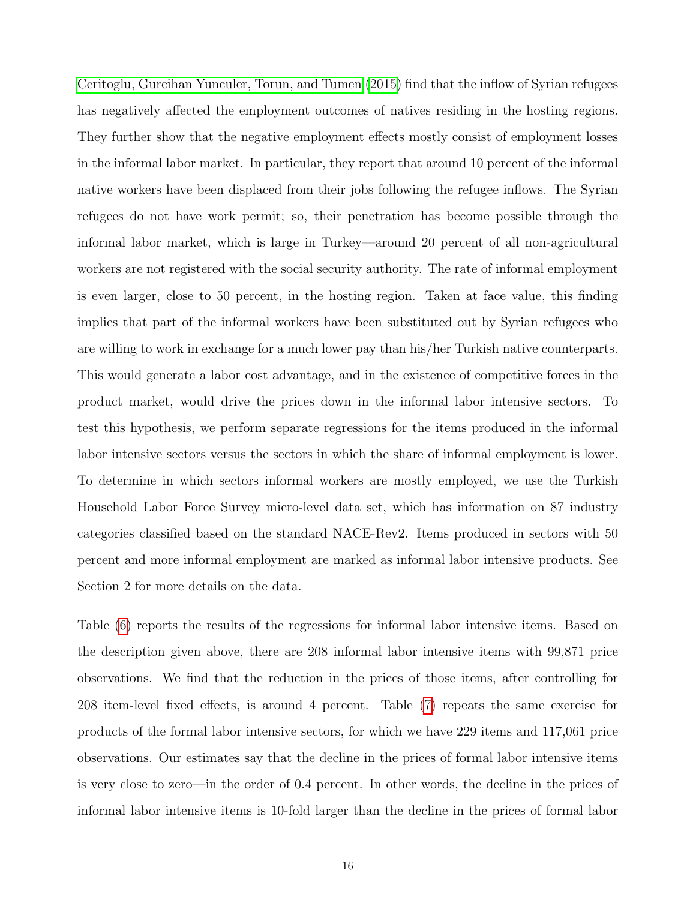[Ceritoglu, Gurcihan Yunculer, Torun, and Tumen](#page-26-1) [\(2015\)](#page-26-1) find that the inflow of Syrian refugees has negatively affected the employment outcomes of natives residing in the hosting regions. They further show that the negative employment effects mostly consist of employment losses in the informal labor market. In particular, they report that around 10 percent of the informal native workers have been displaced from their jobs following the refugee inflows. The Syrian refugees do not have work permit; so, their penetration has become possible through the informal labor market, which is large in Turkey—around 20 percent of all non-agricultural workers are not registered with the social security authority. The rate of informal employment is even larger, close to 50 percent, in the hosting region. Taken at face value, this finding implies that part of the informal workers have been substituted out by Syrian refugees who are willing to work in exchange for a much lower pay than his/her Turkish native counterparts. This would generate a labor cost advantage, and in the existence of competitive forces in the product market, would drive the prices down in the informal labor intensive sectors. To test this hypothesis, we perform separate regressions for the items produced in the informal labor intensive sectors versus the sectors in which the share of informal employment is lower. To determine in which sectors informal workers are mostly employed, we use the Turkish Household Labor Force Survey micro-level data set, which has information on 87 industry categories classified based on the standard NACE-Rev2. Items produced in sectors with 50 percent and more informal employment are marked as informal labor intensive products. See Section 2 for more details on the data.

Table [\(6\)](#page-35-0) reports the results of the regressions for informal labor intensive items. Based on the description given above, there are 208 informal labor intensive items with 99,871 price observations. We find that the reduction in the prices of those items, after controlling for 208 item-level fixed effects, is around 4 percent. Table [\(7\)](#page-36-0) repeats the same exercise for products of the formal labor intensive sectors, for which we have 229 items and 117,061 price observations. Our estimates say that the decline in the prices of formal labor intensive items is very close to zero—in the order of 0.4 percent. In other words, the decline in the prices of informal labor intensive items is 10-fold larger than the decline in the prices of formal labor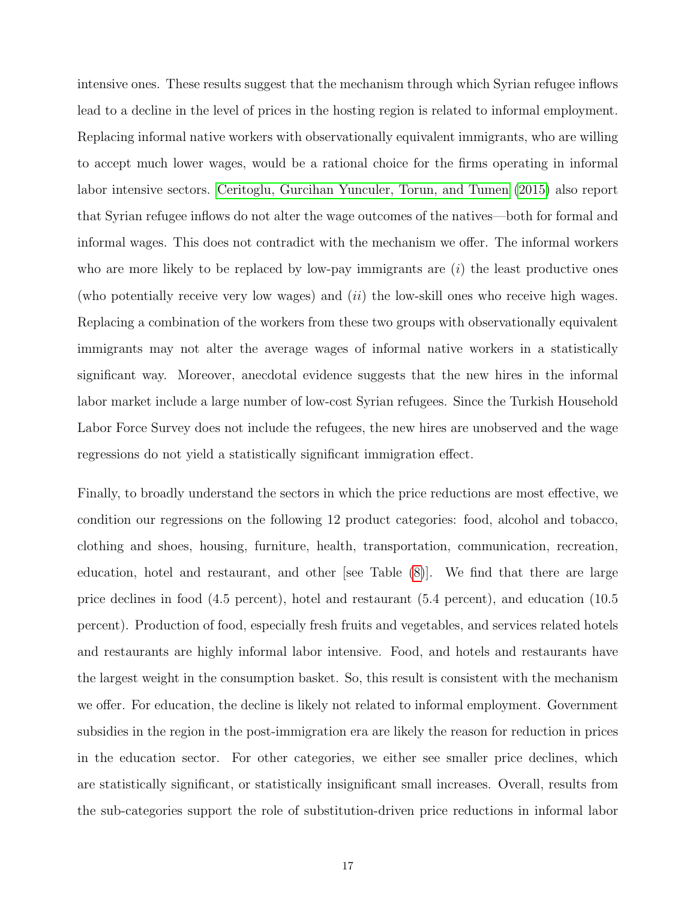intensive ones. These results suggest that the mechanism through which Syrian refugee inflows lead to a decline in the level of prices in the hosting region is related to informal employment. Replacing informal native workers with observationally equivalent immigrants, who are willing to accept much lower wages, would be a rational choice for the firms operating in informal labor intensive sectors. [Ceritoglu, Gurcihan Yunculer, Torun, and Tumen](#page-26-1) [\(2015\)](#page-26-1) also report that Syrian refugee inflows do not alter the wage outcomes of the natives—both for formal and informal wages. This does not contradict with the mechanism we offer. The informal workers who are more likely to be replaced by low-pay immigrants are  $(i)$  the least productive ones (who potentially receive very low wages) and  $(ii)$  the low-skill ones who receive high wages. Replacing a combination of the workers from these two groups with observationally equivalent immigrants may not alter the average wages of informal native workers in a statistically significant way. Moreover, anecdotal evidence suggests that the new hires in the informal labor market include a large number of low-cost Syrian refugees. Since the Turkish Household Labor Force Survey does not include the refugees, the new hires are unobserved and the wage regressions do not yield a statistically significant immigration effect.

Finally, to broadly understand the sectors in which the price reductions are most effective, we condition our regressions on the following 12 product categories: food, alcohol and tobacco, clothing and shoes, housing, furniture, health, transportation, communication, recreation, education, hotel and restaurant, and other [see Table [\(8\)](#page-37-0)]. We find that there are large price declines in food (4.5 percent), hotel and restaurant (5.4 percent), and education (10.5 percent). Production of food, especially fresh fruits and vegetables, and services related hotels and restaurants are highly informal labor intensive. Food, and hotels and restaurants have the largest weight in the consumption basket. So, this result is consistent with the mechanism we offer. For education, the decline is likely not related to informal employment. Government subsidies in the region in the post-immigration era are likely the reason for reduction in prices in the education sector. For other categories, we either see smaller price declines, which are statistically significant, or statistically insignificant small increases. Overall, results from the sub-categories support the role of substitution-driven price reductions in informal labor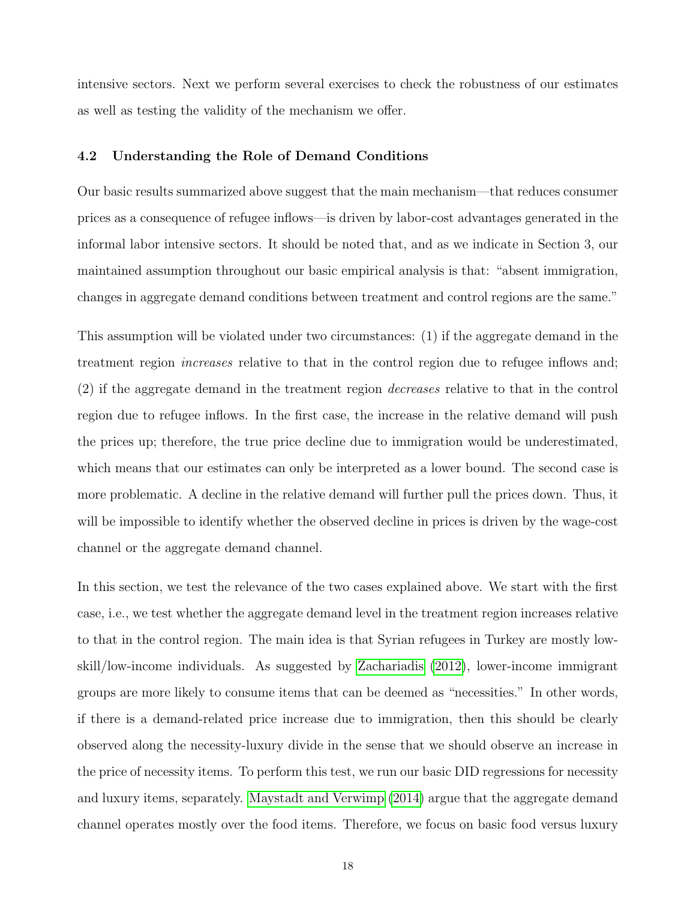intensive sectors. Next we perform several exercises to check the robustness of our estimates as well as testing the validity of the mechanism we offer.

#### 4.2 Understanding the Role of Demand Conditions

Our basic results summarized above suggest that the main mechanism—that reduces consumer prices as a consequence of refugee inflows—is driven by labor-cost advantages generated in the informal labor intensive sectors. It should be noted that, and as we indicate in Section 3, our maintained assumption throughout our basic empirical analysis is that: "absent immigration, changes in aggregate demand conditions between treatment and control regions are the same."

This assumption will be violated under two circumstances: (1) if the aggregate demand in the treatment region increases relative to that in the control region due to refugee inflows and; (2) if the aggregate demand in the treatment region decreases relative to that in the control region due to refugee inflows. In the first case, the increase in the relative demand will push the prices up; therefore, the true price decline due to immigration would be underestimated, which means that our estimates can only be interpreted as a lower bound. The second case is more problematic. A decline in the relative demand will further pull the prices down. Thus, it will be impossible to identify whether the observed decline in prices is driven by the wage-cost channel or the aggregate demand channel.

In this section, we test the relevance of the two cases explained above. We start with the first case, i.e., we test whether the aggregate demand level in the treatment region increases relative to that in the control region. The main idea is that Syrian refugees in Turkey are mostly lowskill/low-income individuals. As suggested by [Zachariadis](#page-28-2) [\(2012\)](#page-28-2), lower-income immigrant groups are more likely to consume items that can be deemed as "necessities." In other words, if there is a demand-related price increase due to immigration, then this should be clearly observed along the necessity-luxury divide in the sense that we should observe an increase in the price of necessity items. To perform this test, we run our basic DID regressions for necessity and luxury items, separately. [Maystadt and Verwimp](#page-27-8) [\(2014\)](#page-27-8) argue that the aggregate demand channel operates mostly over the food items. Therefore, we focus on basic food versus luxury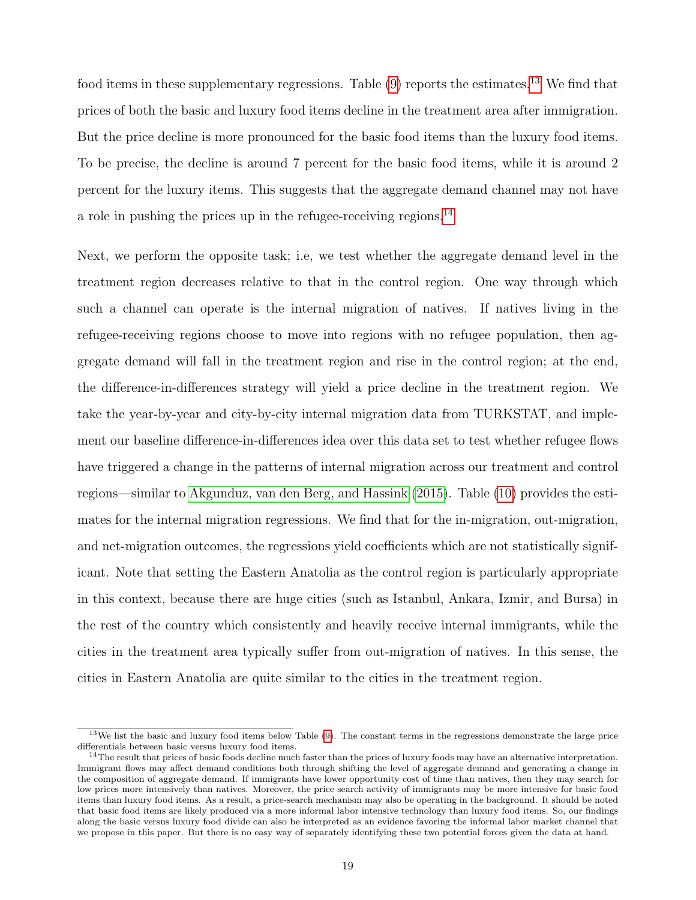food items in these supplementary regressions. Table  $(9)$  reports the estimates.<sup>[13](#page--1-0)</sup> We find that prices of both the basic and luxury food items decline in the treatment area after immigration. But the price decline is more pronounced for the basic food items than the luxury food items. To be precise, the decline is around 7 percent for the basic food items, while it is around 2 percent for the luxury items. This suggests that the aggregate demand channel may not have a role in pushing the prices up in the refugee-receiving regions.<sup>[14](#page--1-0)</sup>

Next, we perform the opposite task; i.e, we test whether the aggregate demand level in the treatment region decreases relative to that in the control region. One way through which such a channel can operate is the internal migration of natives. If natives living in the refugee-receiving regions choose to move into regions with no refugee population, then aggregate demand will fall in the treatment region and rise in the control region; at the end, the difference-in-differences strategy will yield a price decline in the treatment region. We take the year-by-year and city-by-city internal migration data from TURKSTAT, and implement our baseline difference-in-differences idea over this data set to test whether refugee flows have triggered a change in the patterns of internal migration across our treatment and control regions—similar to [Akgunduz, van den Berg, and Hassink](#page-26-2) [\(2015\)](#page-26-2). Table [\(10\)](#page-38-1) provides the estimates for the internal migration regressions. We find that for the in-migration, out-migration, and net-migration outcomes, the regressions yield coefficients which are not statistically significant. Note that setting the Eastern Anatolia as the control region is particularly appropriate in this context, because there are huge cities (such as Istanbul, Ankara, Izmir, and Bursa) in the rest of the country which consistently and heavily receive internal immigrants, while the cities in the treatment area typically suffer from out-migration of natives. In this sense, the cities in Eastern Anatolia are quite similar to the cities in the treatment region.

 $13$ We list the basic and luxury food items below Table [\(9\)](#page-38-0). The constant terms in the regressions demonstrate the large price differentials between basic versus luxury food items.

 $14$ The result that prices of basic foods decline much faster than the prices of luxury foods may have an alternative interpretation. Immigrant flows may affect demand conditions both through shifting the level of aggregate demand and generating a change in the composition of aggregate demand. If immigrants have lower opportunity cost of time than natives, then they may search for low prices more intensively than natives. Moreover, the price search activity of immigrants may be more intensive for basic food items than luxury food items. As a result, a price-search mechanism may also be operating in the background. It should be noted that basic food items are likely produced via a more informal labor intensive technology than luxury food items. So, our findings along the basic versus luxury food divide can also be interpreted as an evidence favoring the informal labor market channel that we propose in this paper. But there is no easy way of separately identifying these two potential forces given the data at hand.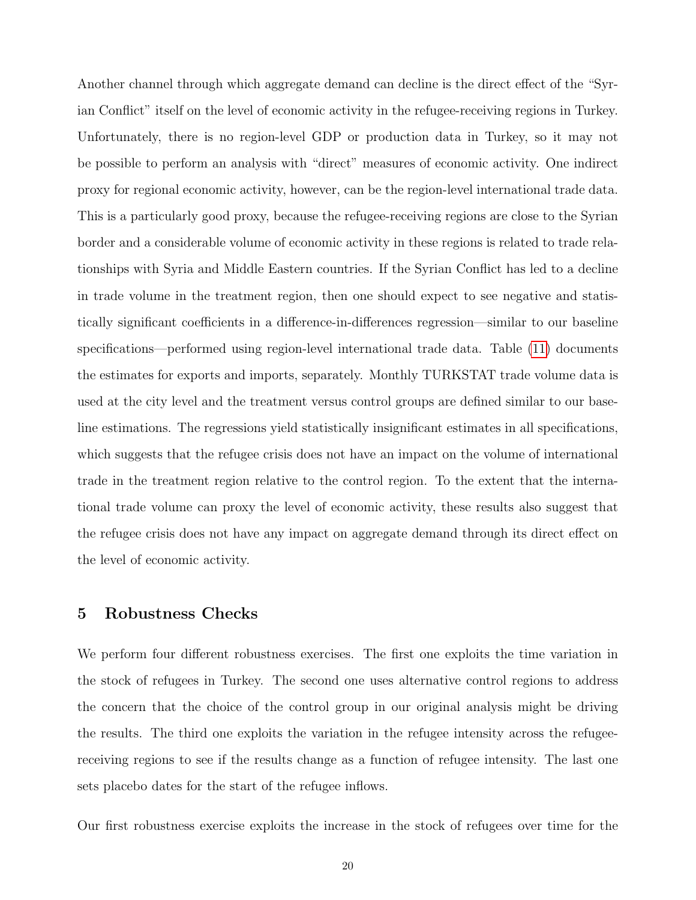Another channel through which aggregate demand can decline is the direct effect of the "Syrian Conflict" itself on the level of economic activity in the refugee-receiving regions in Turkey. Unfortunately, there is no region-level GDP or production data in Turkey, so it may not be possible to perform an analysis with "direct" measures of economic activity. One indirect proxy for regional economic activity, however, can be the region-level international trade data. This is a particularly good proxy, because the refugee-receiving regions are close to the Syrian border and a considerable volume of economic activity in these regions is related to trade relationships with Syria and Middle Eastern countries. If the Syrian Conflict has led to a decline in trade volume in the treatment region, then one should expect to see negative and statistically significant coefficients in a difference-in-differences regression—similar to our baseline specifications—performed using region-level international trade data. Table [\(11\)](#page-39-0) documents the estimates for exports and imports, separately. Monthly TURKSTAT trade volume data is used at the city level and the treatment versus control groups are defined similar to our baseline estimations. The regressions yield statistically insignificant estimates in all specifications, which suggests that the refugee crisis does not have an impact on the volume of international trade in the treatment region relative to the control region. To the extent that the international trade volume can proxy the level of economic activity, these results also suggest that the refugee crisis does not have any impact on aggregate demand through its direct effect on the level of economic activity.

#### 5 Robustness Checks

We perform four different robustness exercises. The first one exploits the time variation in the stock of refugees in Turkey. The second one uses alternative control regions to address the concern that the choice of the control group in our original analysis might be driving the results. The third one exploits the variation in the refugee intensity across the refugeereceiving regions to see if the results change as a function of refugee intensity. The last one sets placebo dates for the start of the refugee inflows.

Our first robustness exercise exploits the increase in the stock of refugees over time for the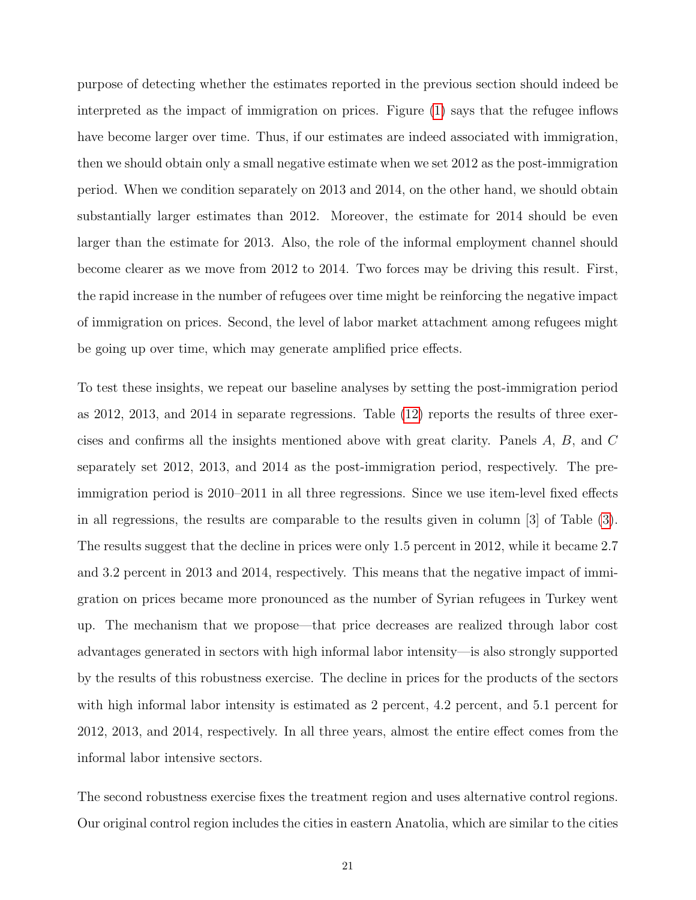purpose of detecting whether the estimates reported in the previous section should indeed be interpreted as the impact of immigration on prices. Figure [\(1\)](#page-29-0) says that the refugee inflows have become larger over time. Thus, if our estimates are indeed associated with immigration, then we should obtain only a small negative estimate when we set 2012 as the post-immigration period. When we condition separately on 2013 and 2014, on the other hand, we should obtain substantially larger estimates than 2012. Moreover, the estimate for 2014 should be even larger than the estimate for 2013. Also, the role of the informal employment channel should become clearer as we move from 2012 to 2014. Two forces may be driving this result. First, the rapid increase in the number of refugees over time might be reinforcing the negative impact of immigration on prices. Second, the level of labor market attachment among refugees might be going up over time, which may generate amplified price effects.

To test these insights, we repeat our baseline analyses by setting the post-immigration period as 2012, 2013, and 2014 in separate regressions. Table [\(12\)](#page-39-1) reports the results of three exercises and confirms all the insights mentioned above with great clarity. Panels A, B, and C separately set 2012, 2013, and 2014 as the post-immigration period, respectively. The preimmigration period is 2010–2011 in all three regressions. Since we use item-level fixed effects in all regressions, the results are comparable to the results given in column [3] of Table [\(3\)](#page-33-0). The results suggest that the decline in prices were only 1.5 percent in 2012, while it became 2.7 and 3.2 percent in 2013 and 2014, respectively. This means that the negative impact of immigration on prices became more pronounced as the number of Syrian refugees in Turkey went up. The mechanism that we propose—that price decreases are realized through labor cost advantages generated in sectors with high informal labor intensity—is also strongly supported by the results of this robustness exercise. The decline in prices for the products of the sectors with high informal labor intensity is estimated as 2 percent, 4.2 percent, and 5.1 percent for 2012, 2013, and 2014, respectively. In all three years, almost the entire effect comes from the informal labor intensive sectors.

The second robustness exercise fixes the treatment region and uses alternative control regions. Our original control region includes the cities in eastern Anatolia, which are similar to the cities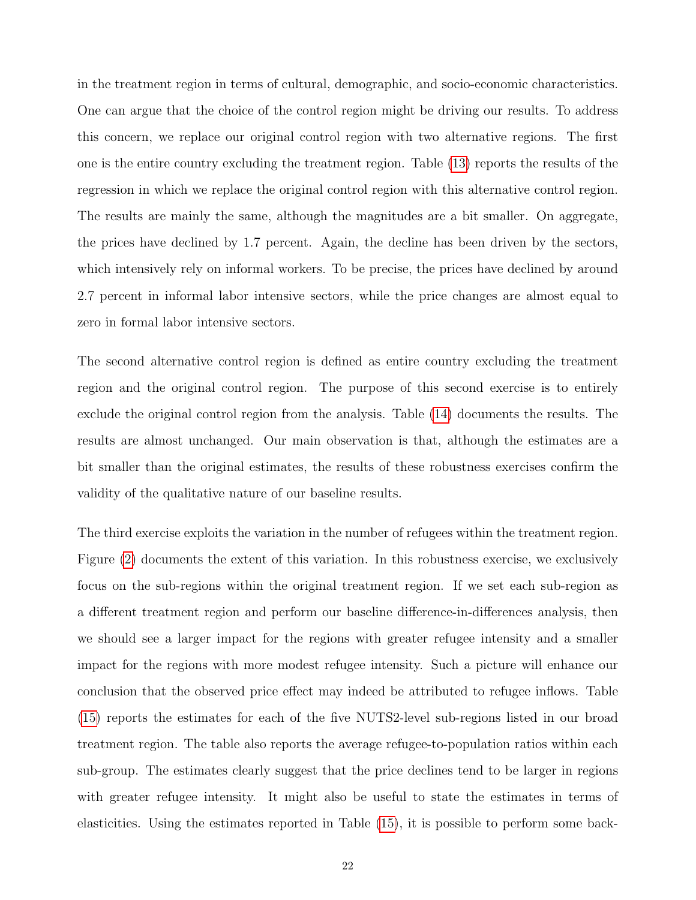in the treatment region in terms of cultural, demographic, and socio-economic characteristics. One can argue that the choice of the control region might be driving our results. To address this concern, we replace our original control region with two alternative regions. The first one is the entire country excluding the treatment region. Table [\(13\)](#page-40-0) reports the results of the regression in which we replace the original control region with this alternative control region. The results are mainly the same, although the magnitudes are a bit smaller. On aggregate, the prices have declined by 1.7 percent. Again, the decline has been driven by the sectors, which intensively rely on informal workers. To be precise, the prices have declined by around 2.7 percent in informal labor intensive sectors, while the price changes are almost equal to zero in formal labor intensive sectors.

The second alternative control region is defined as entire country excluding the treatment region and the original control region. The purpose of this second exercise is to entirely exclude the original control region from the analysis. Table [\(14\)](#page-40-1) documents the results. The results are almost unchanged. Our main observation is that, although the estimates are a bit smaller than the original estimates, the results of these robustness exercises confirm the validity of the qualitative nature of our baseline results.

The third exercise exploits the variation in the number of refugees within the treatment region. Figure [\(2\)](#page-29-1) documents the extent of this variation. In this robustness exercise, we exclusively focus on the sub-regions within the original treatment region. If we set each sub-region as a different treatment region and perform our baseline difference-in-differences analysis, then we should see a larger impact for the regions with greater refugee intensity and a smaller impact for the regions with more modest refugee intensity. Such a picture will enhance our conclusion that the observed price effect may indeed be attributed to refugee inflows. Table [\(15\)](#page-41-0) reports the estimates for each of the five NUTS2-level sub-regions listed in our broad treatment region. The table also reports the average refugee-to-population ratios within each sub-group. The estimates clearly suggest that the price declines tend to be larger in regions with greater refugee intensity. It might also be useful to state the estimates in terms of elasticities. Using the estimates reported in Table [\(15\)](#page-41-0), it is possible to perform some back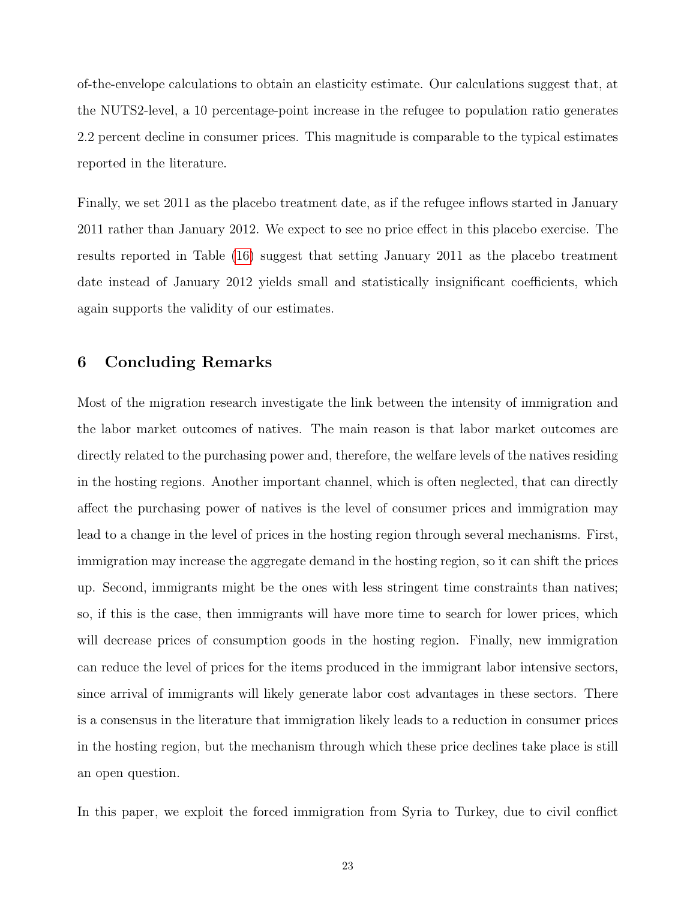of-the-envelope calculations to obtain an elasticity estimate. Our calculations suggest that, at the NUTS2-level, a 10 percentage-point increase in the refugee to population ratio generates 2.2 percent decline in consumer prices. This magnitude is comparable to the typical estimates reported in the literature.

Finally, we set 2011 as the placebo treatment date, as if the refugee inflows started in January 2011 rather than January 2012. We expect to see no price effect in this placebo exercise. The results reported in Table [\(16\)](#page-41-1) suggest that setting January 2011 as the placebo treatment date instead of January 2012 yields small and statistically insignificant coefficients, which again supports the validity of our estimates.

### 6 Concluding Remarks

Most of the migration research investigate the link between the intensity of immigration and the labor market outcomes of natives. The main reason is that labor market outcomes are directly related to the purchasing power and, therefore, the welfare levels of the natives residing in the hosting regions. Another important channel, which is often neglected, that can directly affect the purchasing power of natives is the level of consumer prices and immigration may lead to a change in the level of prices in the hosting region through several mechanisms. First, immigration may increase the aggregate demand in the hosting region, so it can shift the prices up. Second, immigrants might be the ones with less stringent time constraints than natives; so, if this is the case, then immigrants will have more time to search for lower prices, which will decrease prices of consumption goods in the hosting region. Finally, new immigration can reduce the level of prices for the items produced in the immigrant labor intensive sectors, since arrival of immigrants will likely generate labor cost advantages in these sectors. There is a consensus in the literature that immigration likely leads to a reduction in consumer prices in the hosting region, but the mechanism through which these price declines take place is still an open question.

In this paper, we exploit the forced immigration from Syria to Turkey, due to civil conflict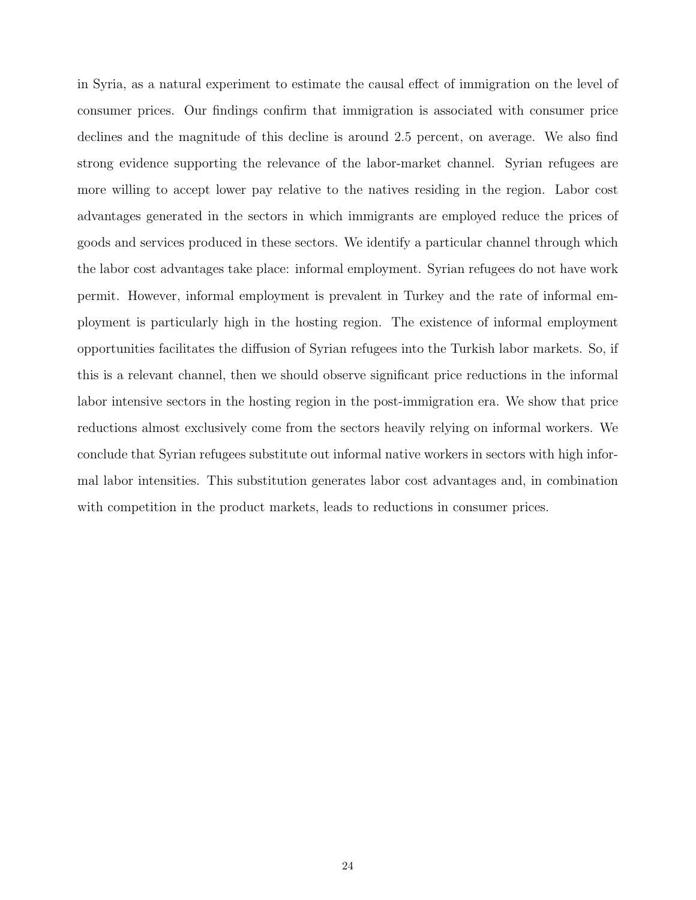in Syria, as a natural experiment to estimate the causal effect of immigration on the level of consumer prices. Our findings confirm that immigration is associated with consumer price declines and the magnitude of this decline is around 2.5 percent, on average. We also find strong evidence supporting the relevance of the labor-market channel. Syrian refugees are more willing to accept lower pay relative to the natives residing in the region. Labor cost advantages generated in the sectors in which immigrants are employed reduce the prices of goods and services produced in these sectors. We identify a particular channel through which the labor cost advantages take place: informal employment. Syrian refugees do not have work permit. However, informal employment is prevalent in Turkey and the rate of informal employment is particularly high in the hosting region. The existence of informal employment opportunities facilitates the diffusion of Syrian refugees into the Turkish labor markets. So, if this is a relevant channel, then we should observe significant price reductions in the informal labor intensive sectors in the hosting region in the post-immigration era. We show that price reductions almost exclusively come from the sectors heavily relying on informal workers. We conclude that Syrian refugees substitute out informal native workers in sectors with high informal labor intensities. This substitution generates labor cost advantages and, in combination with competition in the product markets, leads to reductions in consumer prices.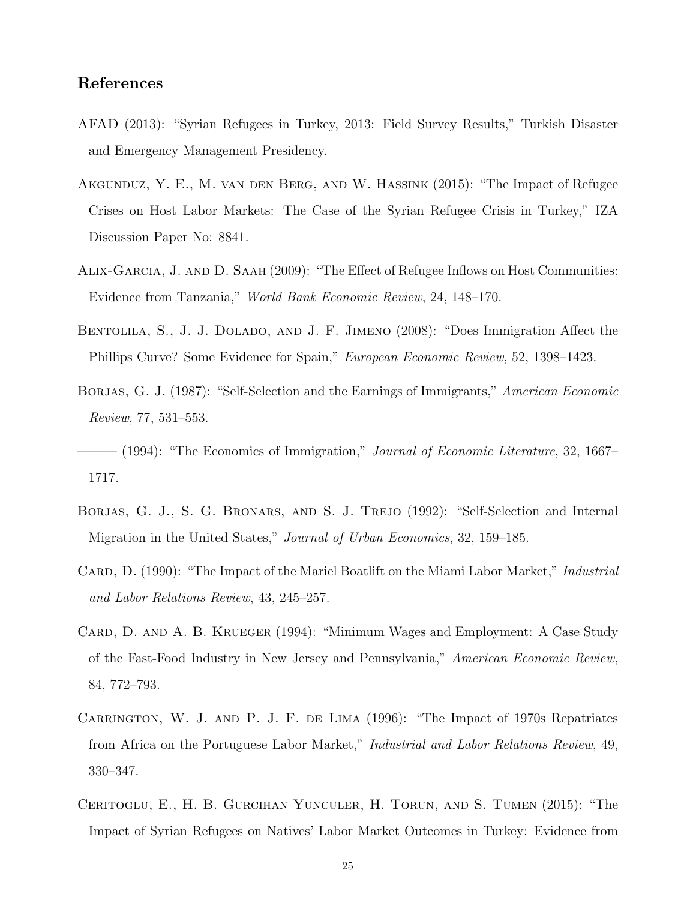# References

- <span id="page-26-0"></span>AFAD (2013): "Syrian Refugees in Turkey, 2013: Field Survey Results," Turkish Disaster and Emergency Management Presidency.
- <span id="page-26-2"></span>Akgunduz, Y. E., M. van den Berg, and W. Hassink (2015): "The Impact of Refugee Crises on Host Labor Markets: The Case of the Syrian Refugee Crisis in Turkey," IZA Discussion Paper No: 8841.
- <span id="page-26-3"></span>Alix-Garcia, J. and D. Saah (2009): "The Effect of Refugee Inflows on Host Communities: Evidence from Tanzania," World Bank Economic Review, 24, 148–170.
- <span id="page-26-4"></span>BENTOLILA, S., J. J. DOLADO, AND J. F. JIMENO (2008): "Does Immigration Affect the Phillips Curve? Some Evidence for Spain," European Economic Review, 52, 1398–1423.
- <span id="page-26-7"></span>BORJAS, G. J. (1987): "Self-Selection and the Earnings of Immigrants," American Economic Review, 77, 531–553.
- <span id="page-26-8"></span> $-$  (1994): "The Economics of Immigration," Journal of Economic Literature, 32, 1667– 1717.
- <span id="page-26-9"></span>BORJAS, G. J., S. G. BRONARS, AND S. J. TREJO (1992): "Self-Selection and Internal Migration in the United States," Journal of Urban Economics, 32, 159–185.
- <span id="page-26-5"></span>CARD, D. (1990): "The Impact of the Mariel Boatlift on the Miami Labor Market," *Industrial* and Labor Relations Review, 43, 245–257.
- <span id="page-26-10"></span>CARD, D. AND A. B. KRUEGER (1994): "Minimum Wages and Employment: A Case Study of the Fast-Food Industry in New Jersey and Pennsylvania," American Economic Review, 84, 772–793.
- <span id="page-26-6"></span>CARRINGTON, W. J. AND P. J. F. DE LIMA (1996): "The Impact of 1970s Repatriates from Africa on the Portuguese Labor Market," Industrial and Labor Relations Review, 49, 330–347.
- <span id="page-26-1"></span>Ceritoglu, E., H. B. Gurcihan Yunculer, H. Torun, and S. Tumen (2015): "The Impact of Syrian Refugees on Natives' Labor Market Outcomes in Turkey: Evidence from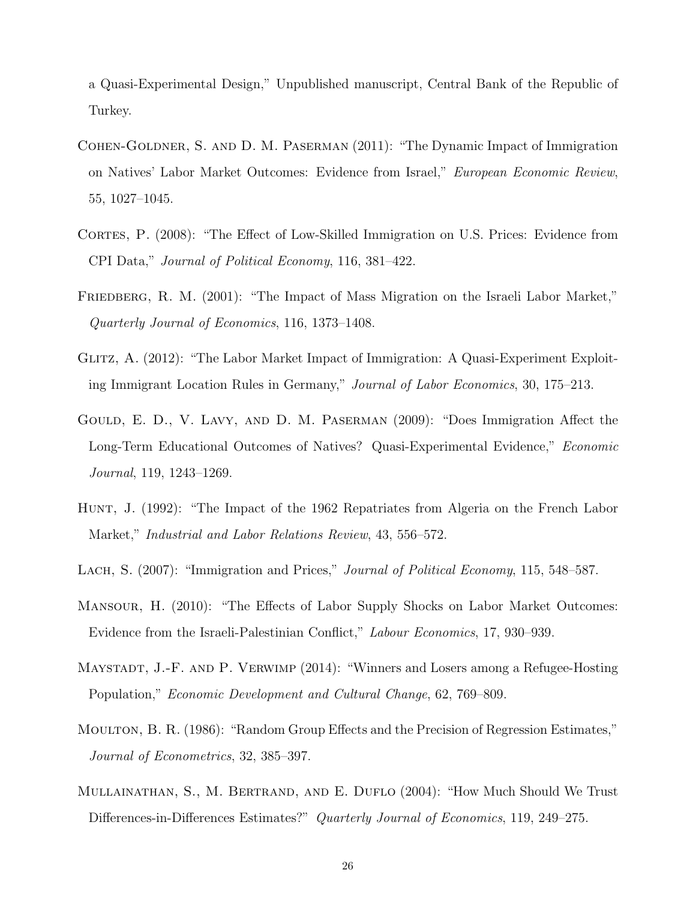a Quasi-Experimental Design," Unpublished manuscript, Central Bank of the Republic of Turkey.

- <span id="page-27-4"></span>Cohen-Goldner, S. and D. M. Paserman (2011): "The Dynamic Impact of Immigration on Natives' Labor Market Outcomes: Evidence from Israel," European Economic Review, 55, 1027–1045.
- <span id="page-27-1"></span>CORTES, P. (2008): "The Effect of Low-Skilled Immigration on U.S. Prices: Evidence from CPI Data," Journal of Political Economy, 116, 381–422.
- <span id="page-27-3"></span>FRIEDBERG, R. M. (2001): "The Impact of Mass Migration on the Israeli Labor Market," Quarterly Journal of Economics, 116, 1373–1408.
- <span id="page-27-6"></span>Glitz, A. (2012): "The Labor Market Impact of Immigration: A Quasi-Experiment Exploiting Immigrant Location Rules in Germany," Journal of Labor Economics, 30, 175–213.
- <span id="page-27-7"></span>Gould, E. D., V. Lavy, and D. M. Paserman (2009): "Does Immigration Affect the Long-Term Educational Outcomes of Natives? Quasi-Experimental Evidence," Economic Journal, 119, 1243–1269.
- <span id="page-27-2"></span>Hunt, J. (1992): "The Impact of the 1962 Repatriates from Algeria on the French Labor Market," Industrial and Labor Relations Review, 43, 556–572.
- <span id="page-27-0"></span>LACH, S. (2007): "Immigration and Prices," *Journal of Political Economy*, 115, 548–587.
- <span id="page-27-5"></span>Mansour, H. (2010): "The Effects of Labor Supply Shocks on Labor Market Outcomes: Evidence from the Israeli-Palestinian Conflict," Labour Economics, 17, 930–939.
- <span id="page-27-8"></span>MAYSTADT, J.-F. AND P. VERWIMP (2014): "Winners and Losers among a Refugee-Hosting Population," Economic Development and Cultural Change, 62, 769–809.
- <span id="page-27-9"></span>Moulton, B. R. (1986): "Random Group Effects and the Precision of Regression Estimates," Journal of Econometrics, 32, 385–397.
- <span id="page-27-10"></span>Mullainathan, S., M. Bertrand, and E. Duflo (2004): "How Much Should We Trust Differences-in-Differences Estimates?" Quarterly Journal of Economics, 119, 249–275.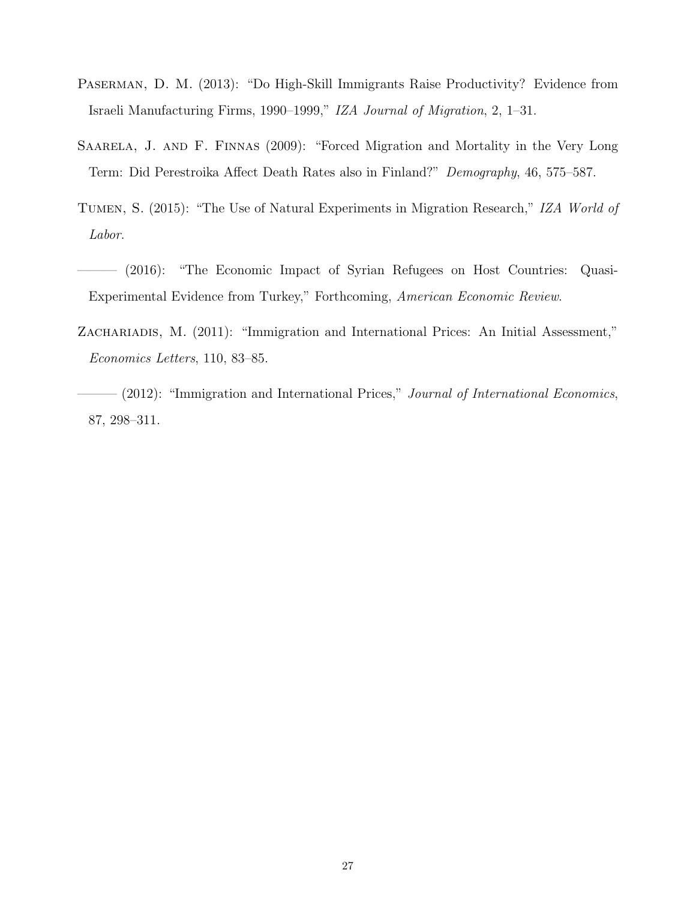- <span id="page-28-4"></span>Paserman, D. M. (2013): "Do High-Skill Immigrants Raise Productivity? Evidence from Israeli Manufacturing Firms, 1990–1999," IZA Journal of Migration, 2, 1–31.
- <span id="page-28-5"></span>Saarela, J. and F. Finnas (2009): "Forced Migration and Mortality in the Very Long Term: Did Perestroika Affect Death Rates also in Finland?" Demography, 46, 575–587.
- <span id="page-28-1"></span>Tumen, S. (2015): "The Use of Natural Experiments in Migration Research," IZA World of Labor.
- <span id="page-28-0"></span>——— (2016): "The Economic Impact of Syrian Refugees on Host Countries: Quasi-Experimental Evidence from Turkey," Forthcoming, American Economic Review.
- <span id="page-28-3"></span>ZACHARIADIS, M. (2011): "Immigration and International Prices: An Initial Assessment," Economics Letters, 110, 83–85.
- <span id="page-28-2"></span>- (2012): "Immigration and International Prices," Journal of International Economics, 87, 298–311.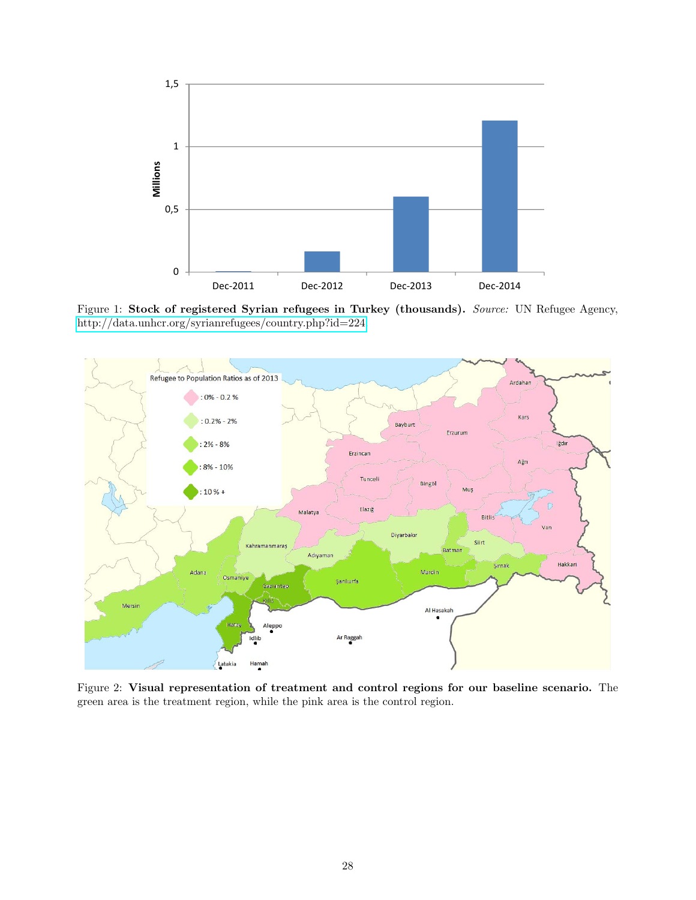<span id="page-29-0"></span>

Figure 1: Stock of registered Syrian refugees in Turkey (thousands). Source: UN Refugee Agency, [http://data.unhcr.org/syrianrefugees/country.php?id=224.](http://data.unhcr.org/syrianrefugees/country.php?id=224)

<span id="page-29-1"></span>

Figure 2: Visual representation of treatment and control regions for our baseline scenario. The green area is the treatment region, while the pink area is the control region.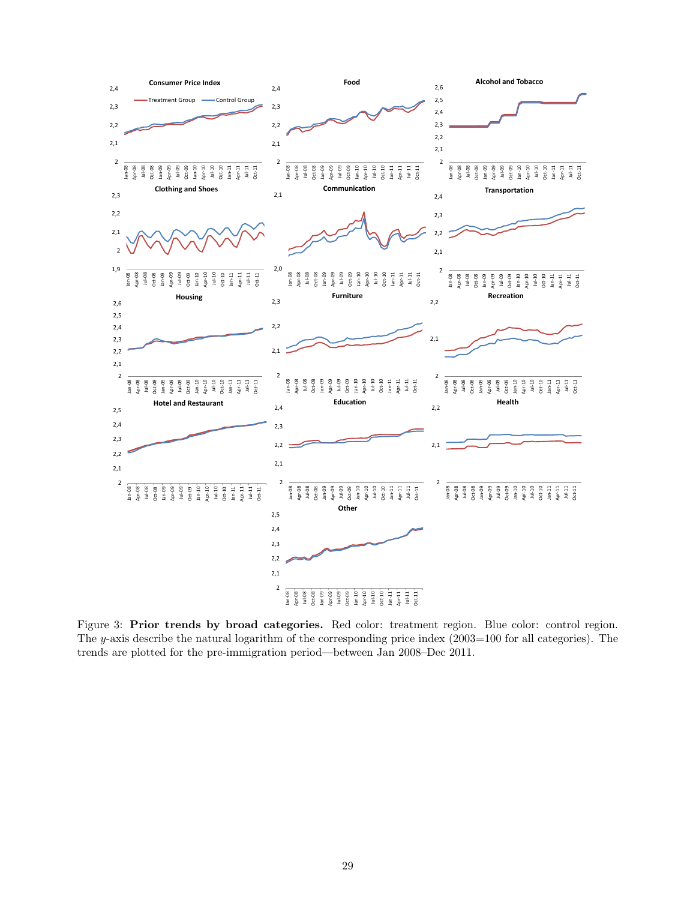<span id="page-30-0"></span>

Figure 3: Prior trends by broad categories. Red color: treatment region. Blue color: control region. The y-axis describe the natural logarithm of the corresponding price index (2003=100 for all categories). The trends are plotted for the pre-immigration period—between Jan 2008–Dec 2011.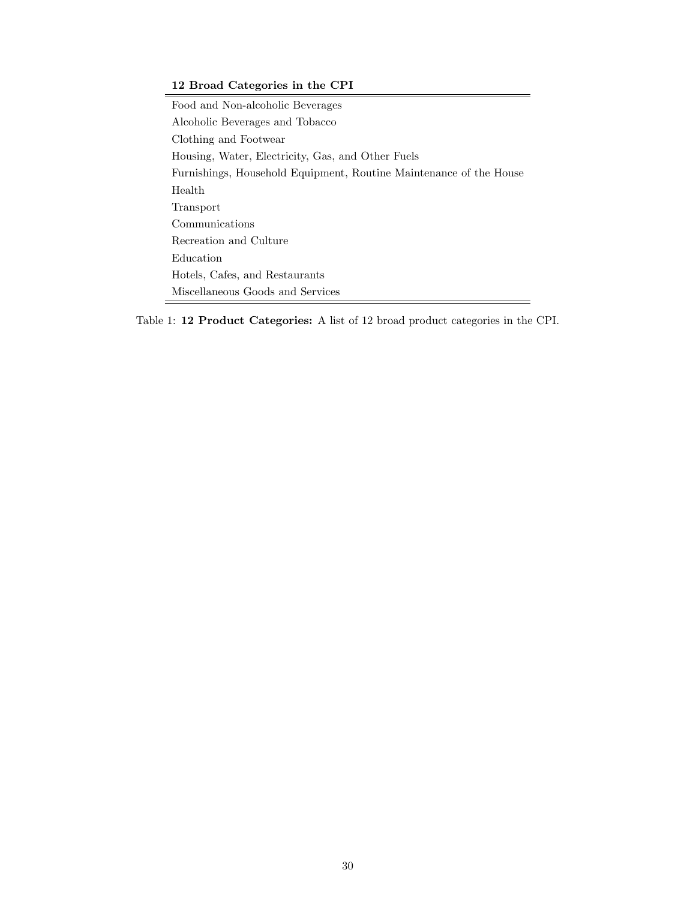#### <span id="page-31-0"></span>12 Broad Categories in the CPI

Food and Non-alcoholic Beverages Alcoholic Beverages and Tobacco Clothing and Footwear Housing, Water, Electricity, Gas, and Other Fuels Furnishings, Household Equipment, Routine Maintenance of the House Health Transport Communications Recreation and Culture Education Hotels, Cafes, and Restaurants Miscellaneous Goods and Services

Table 1: 12 Product Categories: A list of 12 broad product categories in the CPI.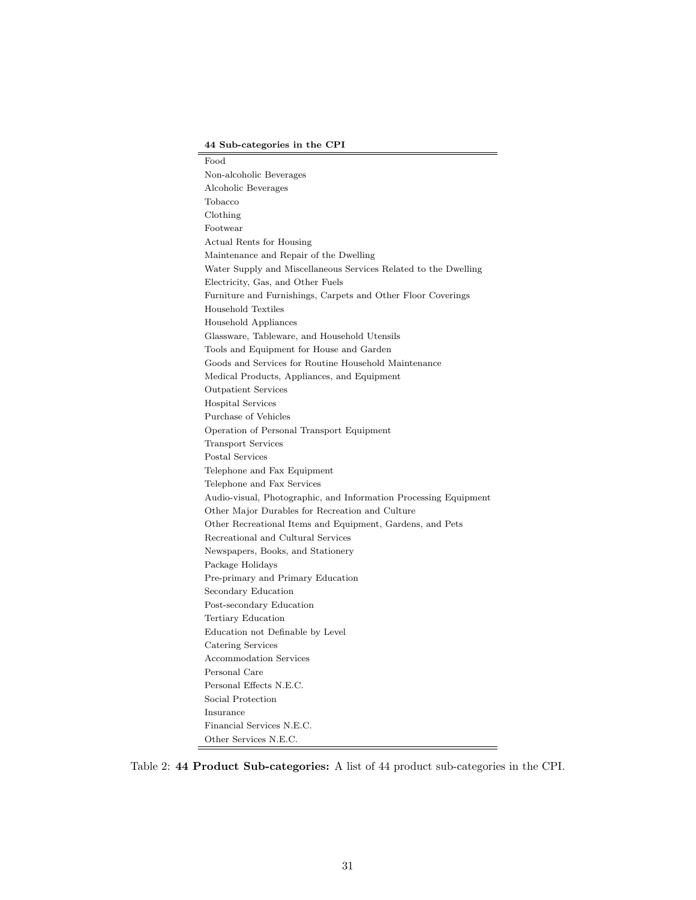#### 44 Sub-categories in the CPI

<span id="page-32-0"></span>Food Non-alcoholic Beverages Alcoholic Beverages Tobacco Clothing Footwear Actual Rents for Housing Maintenance and Repair of the Dwelling Water Supply and Miscellaneous Services Related to the Dwelling Electricity, Gas, and Other Fuels Furniture and Furnishings, Carpets and Other Floor Coverings Household Textiles Household Appliances Glassware, Tableware, and Household Utensils Tools and Equipment for House and Garden Goods and Services for Routine Household Maintenance Medical Products, Appliances, and Equipment Outpatient Services Hospital Services Purchase of Vehicles Operation of Personal Transport Equipment Transport Services Postal Services Telephone and Fax Equipment Telephone and Fax Services Audio-visual, Photographic, and Information Processing Equipment Other Major Durables for Recreation and Culture Other Recreational Items and Equipment, Gardens, and Pets Recreational and Cultural Services Newspapers, Books, and Stationery Package Holidays Pre-primary and Primary Education Secondary Education Post-secondary Education Tertiary Education Education not Definable by Level Catering Services Accommodation Services Personal Care Personal Effects N.E.C. Social Protection Insurance Financial Services N.E.C. Other Services N.E.C.

Table 2: 44 Product Sub-categories: A list of 44 product sub-categories in the CPI.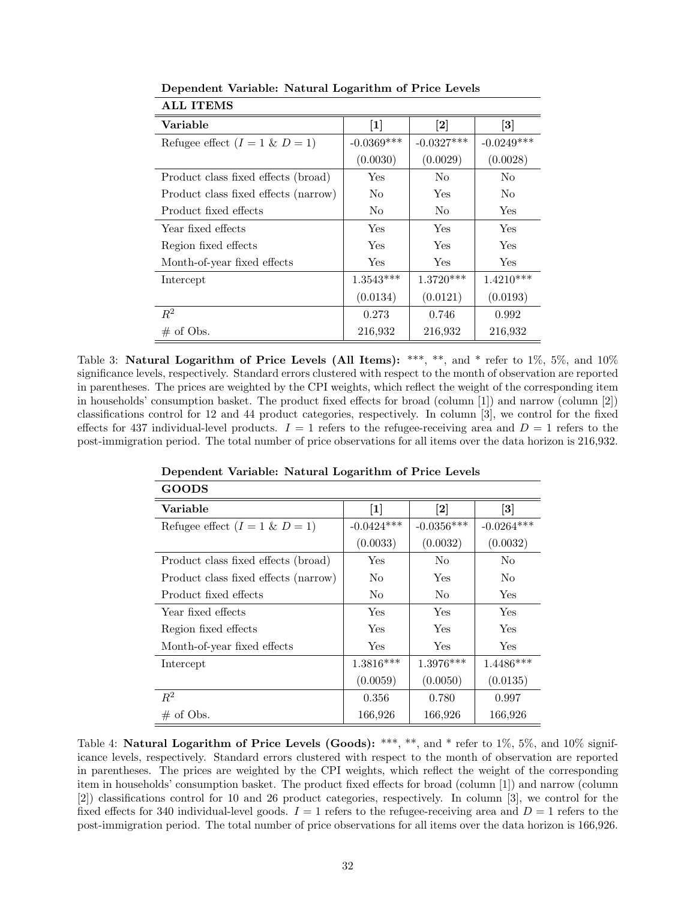| Variable                             | $[1]$          | $\left\lceil 2 \right\rceil$ | $\left\lceil 3 \right\rceil$ |
|--------------------------------------|----------------|------------------------------|------------------------------|
| Refugee effect $(I = 1 \& D = 1)$    | $-0.0369***$   | $-0.0327***$                 | $-0.0249***$                 |
|                                      | (0.0030)       | (0.0029)                     | (0.0028)                     |
| Product class fixed effects (broad)  | Yes            | No                           | No                           |
| Product class fixed effects (narrow) | No             | Yes                          | N <sub>0</sub>               |
| Product fixed effects                | N <sub>o</sub> | N <sub>o</sub>               | Yes                          |
| Year fixed effects                   | Yes            | Yes                          | Yes                          |
| Region fixed effects                 | Yes            | Yes                          | Yes                          |
| Month-of-year fixed effects          | Yes            | <b>Yes</b>                   | Yes                          |
| Intercept                            | $1.3543***$    | $1.3720***$                  | $1.4210***$                  |
|                                      | (0.0134)       | (0.0121)                     | (0.0193)                     |
| $R^2$                                | 0.273          | 0.746                        | 0.992                        |
| $\#$ of Obs.                         | 216,932        | 216,932                      | 216,932                      |

<span id="page-33-0"></span>Dependent Variable: Natural Logarithm of Price Levels ALL ITEMS

Table 3: Natural Logarithm of Price Levels (All Items): \*\*\*, \*\*, and \* refer to  $1\%$ ,  $5\%$ , and  $10\%$ significance levels, respectively. Standard errors clustered with respect to the month of observation are reported in parentheses. The prices are weighted by the CPI weights, which reflect the weight of the corresponding item in households' consumption basket. The product fixed effects for broad (column [1]) and narrow (column [2]) classifications control for 12 and 44 product categories, respectively. In column [3], we control for the fixed effects for 437 individual-level products.  $I = 1$  refers to the refugee-receiving area and  $D = 1$  refers to the post-immigration period. The total number of price observations for all items over the data horizon is 216,932.

| Variable                             | $[1]$          | $\left\lceil 2 \right\rceil$ | $\left\lceil 3 \right\rceil$ |
|--------------------------------------|----------------|------------------------------|------------------------------|
| Refugee effect $(I = 1 \& D = 1)$    | $-0.0424***$   | $-0.0356***$                 | $-0.0264***$                 |
|                                      | (0.0033)       | (0.0032)                     | (0.0032)                     |
| Product class fixed effects (broad)  | Yes            | N <sub>0</sub>               | No.                          |
| Product class fixed effects (narrow) | N <sub>o</sub> | Yes                          | N <sub>o</sub>               |
| Product fixed effects                | No             | N <sub>o</sub>               | Yes                          |
| Year fixed effects                   | <b>Yes</b>     | <b>Yes</b>                   | Yes                          |
| Region fixed effects                 | <b>Yes</b>     | Yes                          | Yes                          |
| Month-of-year fixed effects          | <b>Yes</b>     | <b>Yes</b>                   | Yes                          |
| Intercept                            | $1.3816***$    | $1.3976***$                  | $1.4486***$                  |
|                                      | (0.0059)       | (0.0050)                     | (0.0135)                     |
| $R^2$                                | 0.356          | 0.780                        | 0.997                        |
| $\#$ of Obs.                         | 166,926        | 166,926                      | 166,926                      |

<span id="page-33-1"></span>Dependent Variable: Natural Logarithm of Price Levels GOODS

Table 4: Natural Logarithm of Price Levels (Goods): \*\*\*, \*\*, and \* refer to 1%, 5%, and 10% significance levels, respectively. Standard errors clustered with respect to the month of observation are reported in parentheses. The prices are weighted by the CPI weights, which reflect the weight of the corresponding item in households' consumption basket. The product fixed effects for broad (column [1]) and narrow (column [2]) classifications control for 10 and 26 product categories, respectively. In column [3], we control for the fixed effects for 340 individual-level goods.  $I = 1$  refers to the refugee-receiving area and  $D = 1$  refers to the post-immigration period. The total number of price observations for all items over the data horizon is 166,926.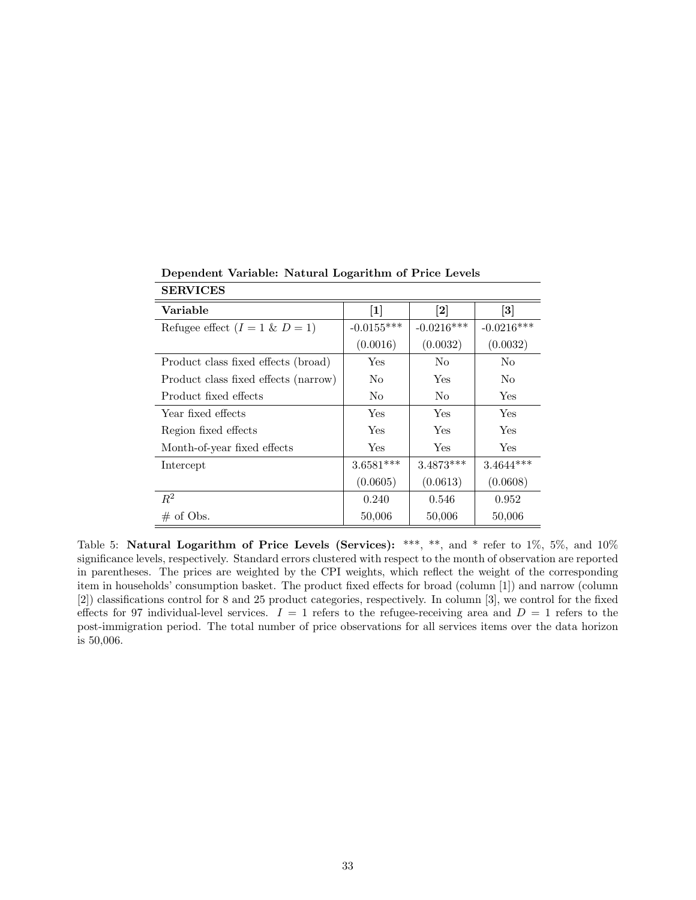<span id="page-34-0"></span>

| o en vitud                           |                   |                              |                              |
|--------------------------------------|-------------------|------------------------------|------------------------------|
| Variable                             | $\lceil 1 \rceil$ | $\left\lceil 2 \right\rceil$ | $\left\lceil 3 \right\rceil$ |
| Refugee effect $(I = 1 \& D = 1)$    | $-0.0155***$      | $-0.0216***$                 | $-0.0216***$                 |
|                                      | (0.0016)          | (0.0032)                     | (0.0032)                     |
| Product class fixed effects (broad)  | Yes               | No                           | N <sub>0</sub>               |
| Product class fixed effects (narrow) | N <sub>0</sub>    | Yes                          | N <sub>o</sub>               |
| Product fixed effects                | No                | No                           | Yes                          |
| Year fixed effects                   | Yes               | Yes                          | Yes                          |
| Region fixed effects                 | Yes               | Yes                          | Yes                          |
| Month-of-year fixed effects          | Yes               | Yes                          | Yes.                         |
| Intercept                            | $3.6581***$       | $3.4873***$                  | $3.4644***$                  |
|                                      | (0.0605)          | (0.0613)                     | (0.0608)                     |
| $R^2$                                | 0.240             | 0.546                        | 0.952                        |
| $\#$ of Obs.                         | 50,006            | 50,006                       | 50,006                       |

Dependent Variable: Natural Logarithm of Price Levels **SERVICES** 

Table 5: Natural Logarithm of Price Levels (Services): \*\*\*, \*\*, and \* refer to 1%, 5%, and 10% significance levels, respectively. Standard errors clustered with respect to the month of observation are reported in parentheses. The prices are weighted by the CPI weights, which reflect the weight of the corresponding item in households' consumption basket. The product fixed effects for broad (column [1]) and narrow (column [2]) classifications control for 8 and 25 product categories, respectively. In column [3], we control for the fixed effects for 97 individual-level services.  $I = 1$  refers to the refugee-receiving area and  $D = 1$  refers to the post-immigration period. The total number of price observations for all services items over the data horizon is 50,006.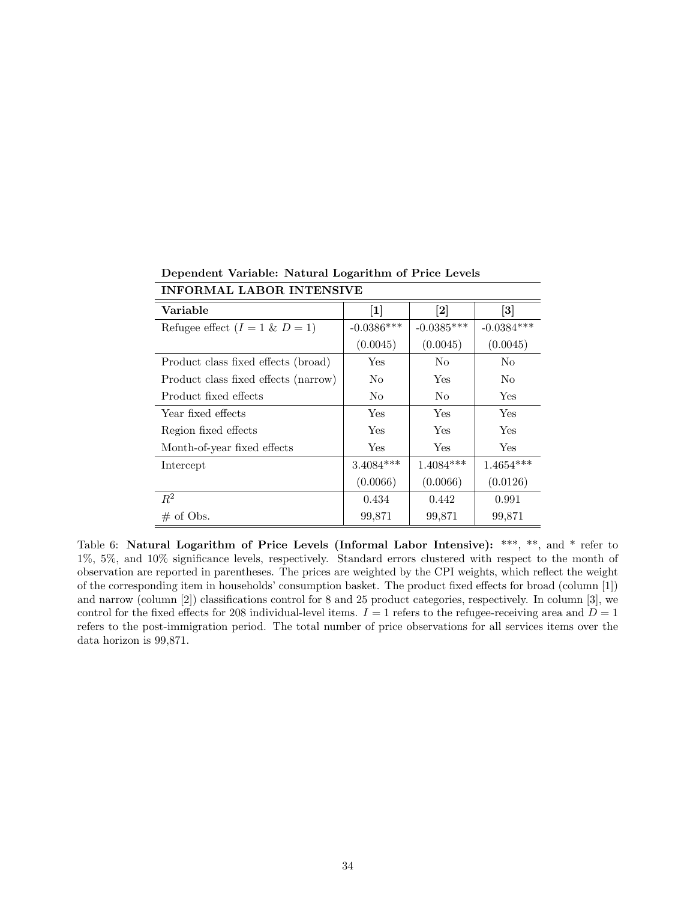| пи опитал ларон патеного п           |                |                              |                              |  |  |
|--------------------------------------|----------------|------------------------------|------------------------------|--|--|
| Variable                             | $[1]$          | $\left\lceil 2 \right\rceil$ | $\left\lceil 3 \right\rceil$ |  |  |
| Refugee effect $(I = 1 \& D = 1)$    | $-0.0386***$   | $-0.0385***$                 | $-0.0384***$                 |  |  |
|                                      | (0.0045)       | (0.0045)                     | (0.0045)                     |  |  |
| Product class fixed effects (broad)  | Yes            | No                           | No                           |  |  |
| Product class fixed effects (narrow) | N <sub>0</sub> | Yes                          | N <sub>0</sub>               |  |  |
| Product fixed effects                | N <sub>0</sub> | No                           | Yes                          |  |  |
| Year fixed effects                   | Yes            | Yes                          | Yes                          |  |  |
| Region fixed effects                 | Yes            | Yes                          | Yes                          |  |  |
| Month-of-year fixed effects          | Yes            | <b>Yes</b>                   | Yes                          |  |  |
| Intercept                            | $3.4084***$    | $1.4084***$                  | $1.4654***$                  |  |  |
|                                      | (0.0066)       | (0.0066)                     | (0.0126)                     |  |  |
| $R^2$                                | 0.434          | 0.442                        | 0.991                        |  |  |
| $\#$ of Obs.                         | 99,871         | 99,871                       | 99,871                       |  |  |

<span id="page-35-0"></span>Dependent Variable: Natural Logarithm of Price Levels INFORMAL LABOR INTENSIVE

Table 6: Natural Logarithm of Price Levels (Informal Labor Intensive): \*\*\*, \*\*, and \* refer to 1%, 5%, and 10% significance levels, respectively. Standard errors clustered with respect to the month of observation are reported in parentheses. The prices are weighted by the CPI weights, which reflect the weight of the corresponding item in households' consumption basket. The product fixed effects for broad (column [1]) and narrow (column [2]) classifications control for 8 and 25 product categories, respectively. In column [3], we control for the fixed effects for 208 individual-level items.  $I = 1$  refers to the refugee-receiving area and  $D = 1$ refers to the post-immigration period. The total number of price observations for all services items over the data horizon is 99,871.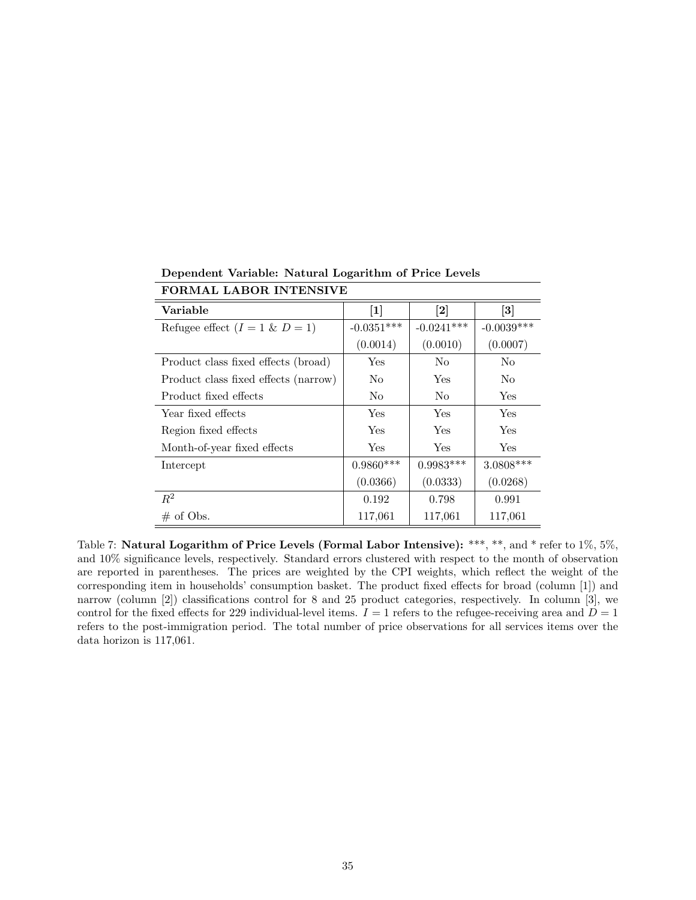| тополан нарок плетия и н             |                |                              |                              |  |  |
|--------------------------------------|----------------|------------------------------|------------------------------|--|--|
| Variable                             | $[1]$          | $\left\lceil 2 \right\rceil$ | $\left\lceil 3 \right\rceil$ |  |  |
| Refugee effect $(I = 1 \& D = 1)$    | $-0.0351***$   | $-0.0241***$                 | $-0.0039***$                 |  |  |
|                                      | (0.0014)       | (0.0010)                     | (0.0007)                     |  |  |
| Product class fixed effects (broad)  | Yes            | No                           | No                           |  |  |
| Product class fixed effects (narrow) | N <sub>0</sub> | Yes                          | N <sub>0</sub>               |  |  |
| Product fixed effects                | N <sub>0</sub> | No                           | Yes                          |  |  |
| Year fixed effects                   | Yes            | <b>Yes</b>                   | Yes                          |  |  |
| Region fixed effects                 | Yes            | Yes                          | Yes                          |  |  |
| Month-of-year fixed effects          | <b>Yes</b>     | Yes                          | Yes                          |  |  |
| Intercept                            | $0.9860***$    | $0.9983***$                  | 3.0808***                    |  |  |
|                                      | (0.0366)       | (0.0333)                     | (0.0268)                     |  |  |
| $R^2$                                | 0.192          | 0.798                        | 0.991                        |  |  |
| $\#$ of Obs.                         | 117,061        | 117,061                      | 117,061                      |  |  |

<span id="page-36-0"></span>Dependent Variable: Natural Logarithm of Price Levels FORMAL LABOR INTENSIVE

Table 7: Natural Logarithm of Price Levels (Formal Labor Intensive): \*\*\*, \*\*, and \* refer to 1%, 5%, and 10% significance levels, respectively. Standard errors clustered with respect to the month of observation are reported in parentheses. The prices are weighted by the CPI weights, which reflect the weight of the corresponding item in households' consumption basket. The product fixed effects for broad (column [1]) and narrow (column [2]) classifications control for 8 and 25 product categories, respectively. In column [3], we control for the fixed effects for 229 individual-level items.  $I = 1$  refers to the refugee-receiving area and  $D = 1$ refers to the post-immigration period. The total number of price observations for all services items over the data horizon is 117,061.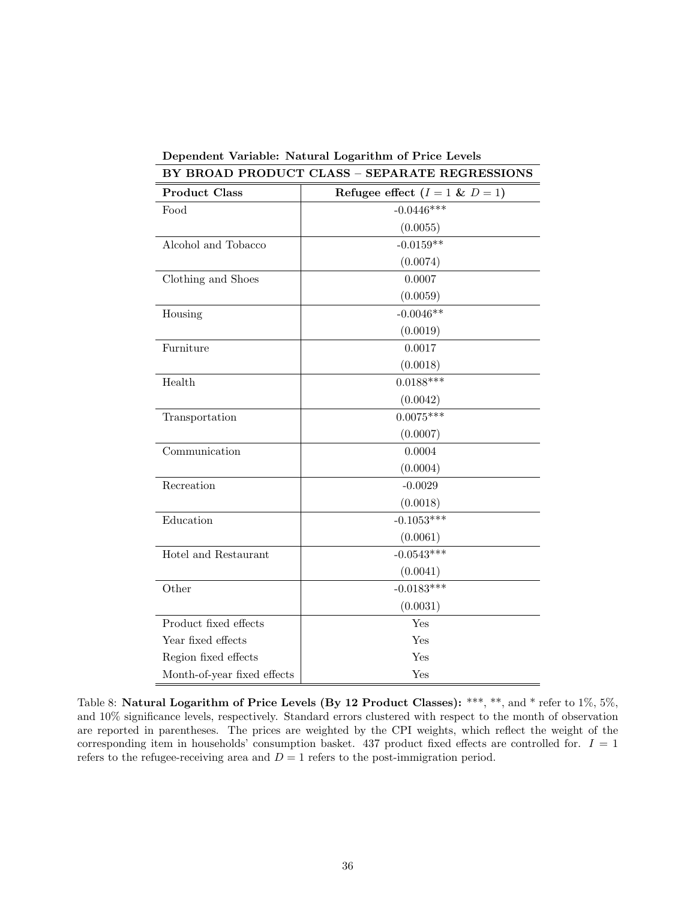| <b>Product Class</b><br>Refugee effect $(I = 1 \& D = 1)$<br>$-0.0446***$<br>Food<br>(0.0055)<br>$-0.0159**$<br>Alcohol and Tobacco<br>(0.0074)<br>Clothing and Shoes<br>0.0007<br>(0.0059)<br>$-0.0046**$<br>Housing<br>(0.0019)<br>Furniture<br>0.0017<br>(0.0018)<br>$0.0188***$<br>Health<br>(0.0042) |
|-----------------------------------------------------------------------------------------------------------------------------------------------------------------------------------------------------------------------------------------------------------------------------------------------------------|
|                                                                                                                                                                                                                                                                                                           |
|                                                                                                                                                                                                                                                                                                           |
|                                                                                                                                                                                                                                                                                                           |
|                                                                                                                                                                                                                                                                                                           |
|                                                                                                                                                                                                                                                                                                           |
|                                                                                                                                                                                                                                                                                                           |
|                                                                                                                                                                                                                                                                                                           |
|                                                                                                                                                                                                                                                                                                           |
|                                                                                                                                                                                                                                                                                                           |
|                                                                                                                                                                                                                                                                                                           |
|                                                                                                                                                                                                                                                                                                           |
|                                                                                                                                                                                                                                                                                                           |
|                                                                                                                                                                                                                                                                                                           |
| $0.0075***$<br>Transportation                                                                                                                                                                                                                                                                             |
| (0.0007)                                                                                                                                                                                                                                                                                                  |
| 0.0004<br>Communication                                                                                                                                                                                                                                                                                   |
| (0.0004)                                                                                                                                                                                                                                                                                                  |
| Recreation<br>$-0.0029$                                                                                                                                                                                                                                                                                   |
| (0.0018)                                                                                                                                                                                                                                                                                                  |
| $-0.1053***$<br>Education                                                                                                                                                                                                                                                                                 |
| (0.0061)                                                                                                                                                                                                                                                                                                  |
| $-0.0543***$<br>Hotel and Restaurant                                                                                                                                                                                                                                                                      |
| (0.0041)                                                                                                                                                                                                                                                                                                  |
| $-0.0183***$<br>Other                                                                                                                                                                                                                                                                                     |
| (0.0031)                                                                                                                                                                                                                                                                                                  |
| Product fixed effects<br>Yes                                                                                                                                                                                                                                                                              |
| Year fixed effects<br>Yes                                                                                                                                                                                                                                                                                 |
| Region fixed effects<br>Yes                                                                                                                                                                                                                                                                               |
| Month-of-year fixed effects<br>Yes                                                                                                                                                                                                                                                                        |

<span id="page-37-0"></span>Dependent Variable: Natural Logarithm of Price Levels BY BROAD PRODUCT CLASS – SEPARATE REGRESSIONS

Table 8: Natural Logarithm of Price Levels (By 12 Product Classes): \*\*\*, \*\*, and \* refer to 1%, 5%, and 10% significance levels, respectively. Standard errors clustered with respect to the month of observation are reported in parentheses. The prices are weighted by the CPI weights, which reflect the weight of the corresponding item in households' consumption basket. 437 product fixed effects are controlled for.  $I = 1$ refers to the refugee-receiving area and  $D = 1$  refers to the post-immigration period.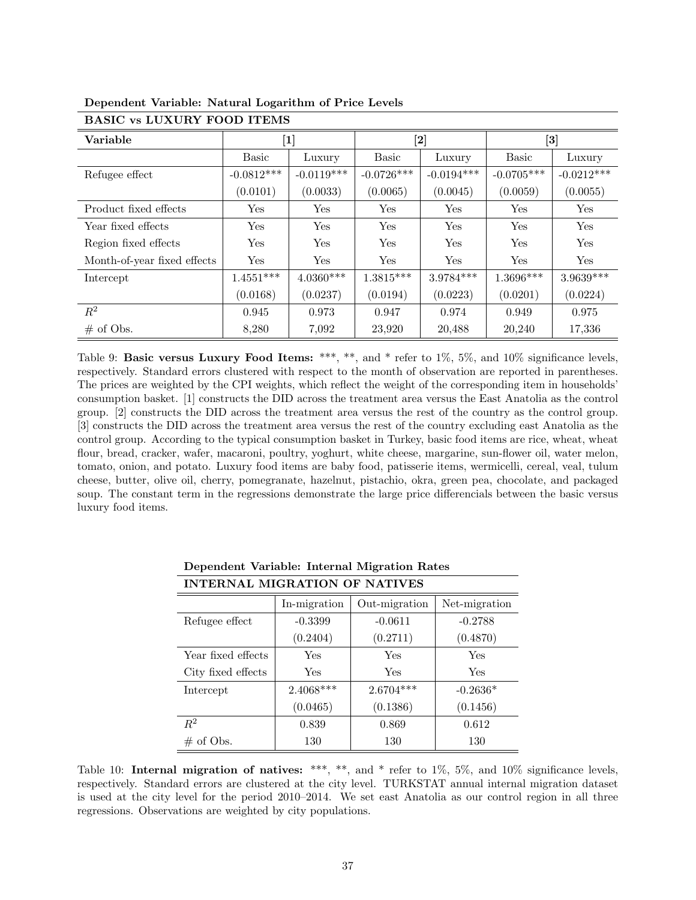| Variable                    |              | $\bm{[2]}$<br>$\left[ 3\right]$<br>$\bm{[1]}$ |              |              |              |              |
|-----------------------------|--------------|-----------------------------------------------|--------------|--------------|--------------|--------------|
|                             | <b>Basic</b> | Luxury                                        | <b>Basic</b> | Luxury       | <b>Basic</b> | Luxury       |
| Refugee effect              | $-0.0812***$ | $-0.0119***$                                  | $-0.0726***$ | $-0.0194***$ | $-0.0705***$ | $-0.0212***$ |
|                             | (0.0101)     | (0.0033)                                      | (0.0065)     | (0.0045)     | (0.0059)     | (0.0055)     |
| Product fixed effects       | Yes          | Yes                                           | Yes          | Yes          | Yes          | Yes          |
| Year fixed effects          | Yes          | Yes                                           | Yes          | Yes          | Yes          | Yes          |
| Region fixed effects        | Yes          | Yes                                           | Yes          | Yes          | Yes          | Yes          |
| Month-of-year fixed effects | Yes          | Yes                                           | Yes          | Yes          | Yes          | Yes          |
| Intercept                   | $1.4551***$  | $4.0360***$                                   | $1.3815***$  | $3.9784***$  | $1.3696***$  | $3.9639***$  |
|                             | (0.0168)     | (0.0237)                                      | (0.0194)     | (0.0223)     | (0.0201)     | (0.0224)     |
| $\mathbb{R}^2$              | 0.945        | 0.973                                         | 0.947        | 0.974        | 0.949        | 0.975        |
| $\#$ of Obs.                | 8,280        | 7,092                                         | 23,920       | 20,488       | 20,240       | 17,336       |

<span id="page-38-0"></span>Dependent Variable: Natural Logarithm of Price Levels BASIC vs LUXURY FOOD ITEMS

Table 9: Basic versus Luxury Food Items: \*\*\*, \*\*, and \* refer to 1%, 5%, and 10% significance levels, respectively. Standard errors clustered with respect to the month of observation are reported in parentheses. The prices are weighted by the CPI weights, which reflect the weight of the corresponding item in households' consumption basket. [1] constructs the DID across the treatment area versus the East Anatolia as the control group. [2] constructs the DID across the treatment area versus the rest of the country as the control group. [3] constructs the DID across the treatment area versus the rest of the country excluding east Anatolia as the control group. According to the typical consumption basket in Turkey, basic food items are rice, wheat, wheat flour, bread, cracker, wafer, macaroni, poultry, yoghurt, white cheese, margarine, sun-flower oil, water melon, tomato, onion, and potato. Luxury food items are baby food, patisserie items, wermicelli, cereal, veal, tulum cheese, butter, olive oil, cherry, pomegranate, hazelnut, pistachio, okra, green pea, chocolate, and packaged soup. The constant term in the regressions demonstrate the large price differencials between the basic versus luxury food items.

<span id="page-38-1"></span>

| <b>INTERNAL MIGRATION OF NATIVES</b> |              |               |               |  |  |  |
|--------------------------------------|--------------|---------------|---------------|--|--|--|
|                                      | In-migration | Out-migration | Net-migration |  |  |  |
| Refugee effect                       | $-0.3399$    | $-0.0611$     | $-0.2788$     |  |  |  |
|                                      | (0.2404)     | (0.2711)      | (0.4870)      |  |  |  |
| Year fixed effects                   | Yes          | Yes           | Yes           |  |  |  |
| City fixed effects                   | Yes          | Yes           | Yes           |  |  |  |
| Intercept                            | $2.4068***$  | $2.6704***$   | $-0.2636*$    |  |  |  |
|                                      | (0.0465)     | (0.1386)      | (0.1456)      |  |  |  |
| $R^2$                                | 0.839        | 0.869         | 0.612         |  |  |  |
| $\#$ of Obs.                         | 130          | 130           | 130           |  |  |  |

Dependent Variable: Internal Migration Rates

Table 10: **Internal migration of natives:** \*\*\*, \*\*, and \* refer to 1%, 5%, and 10% significance levels, respectively. Standard errors are clustered at the city level. TURKSTAT annual internal migration dataset is used at the city level for the period 2010–2014. We set east Anatolia as our control region in all three regressions. Observations are weighted by city populations.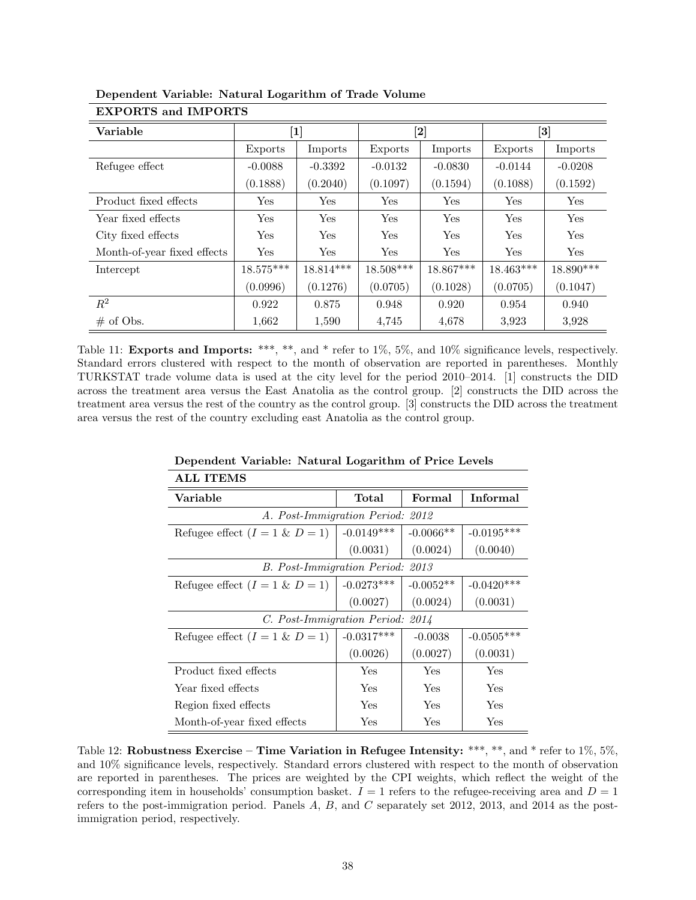| Variable                    |                      | $\left[1\right]$ | $\bm{[2]}$ |             |             | $\left[ 3\right]$ |
|-----------------------------|----------------------|------------------|------------|-------------|-------------|-------------------|
|                             | Exports              | Imports          | Exports    | Imports     | Exports     | Imports           |
| Refugee effect              | $-0.0088$            | $-0.3392$        | $-0.0132$  | $-0.0830$   | $-0.0144$   | $-0.0208$         |
|                             | (0.1888)             | (0.2040)         | (0.1097)   | (0.1594)    | (0.1088)    | (0.1592)          |
| Product fixed effects       | $\operatorname{Yes}$ | Yes              | Yes        | Yes         | Yes         | Yes               |
| Year fixed effects          | Yes                  | Yes              | Yes        | Yes         | Yes         | Yes               |
| City fixed effects          | Yes                  | Yes              | Yes        | Yes         | Yes         | Yes               |
| Month-of-year fixed effects | Yes                  | Yes              | Yes        | Yes         | Yes         | Yes               |
| Intercept                   | $18.575***$          | 18.814***        | 18.508***  | $18.867***$ | $18.463***$ | 18.890***         |
|                             | (0.0996)             | (0.1276)         | (0.0705)   | (0.1028)    | (0.0705)    | (0.1047)          |
| $R^2$                       | 0.922                | 0.875            | 0.948      | 0.920       | 0.954       | 0.940             |
| $\#$ of Obs.                | 1,662                | 1,590            | 4,745      | 4,678       | 3.923       | 3.928             |

<span id="page-39-0"></span>Dependent Variable: Natural Logarithm of Trade Volume EXPORTS and IMPORTS

Table 11: **Exports and Imports:** \*\*\*, \*\*, and \* refer to 1%, 5%, and 10% significance levels, respectively. Standard errors clustered with respect to the month of observation are reported in parentheses. Monthly TURKSTAT trade volume data is used at the city level for the period 2010–2014. [1] constructs the DID across the treatment area versus the East Anatolia as the control group. [2] constructs the DID across the treatment area versus the rest of the country as the control group. [3] constructs the DID across the treatment area versus the rest of the country excluding east Anatolia as the control group.

<span id="page-39-1"></span>

| <b>ALL ITEMS</b>                    |              |             |              |  |  |
|-------------------------------------|--------------|-------------|--------------|--|--|
| Variable                            | Total        | Formal      | Informal     |  |  |
| A. Post-Immigration Period:<br>2012 |              |             |              |  |  |
| Refugee effect $(I = 1 \& D = 1)$   | $-0.0149***$ | $-0.0066**$ | $-0.0195***$ |  |  |
|                                     | (0.0031)     | (0.0024)    | (0.0040)     |  |  |
| B. Post-Immigration Period: 2013    |              |             |              |  |  |
| Refugee effect $(I = 1 \& D = 1)$   | $-0.0273***$ | $-0.0052**$ | $-0.0420***$ |  |  |
|                                     | (0.0027)     | (0.0024)    | (0.0031)     |  |  |
| C. Post-Immigration Period: 2014    |              |             |              |  |  |
| Refugee effect $(I = 1 \& D = 1)$   | $-0.0317***$ | $-0.0038$   | $-0.0505***$ |  |  |
|                                     | (0.0026)     | (0.0027)    | (0.0031)     |  |  |
| Product fixed effects               | Yes          | Yes         | Yes          |  |  |
| Year fixed effects                  | Yes          | Yes         | Yes          |  |  |
| Region fixed effects                | Yes          | Yes         | Yes          |  |  |
| Month-of-year fixed effects         | Yes          | Yes         | Yes          |  |  |

#### Dependent Variable: Natural Logarithm of Price Levels

Table 12: Robustness Exercise – Time Variation in Refugee Intensity: \*\*\*, \*\*, and \* refer to  $1\%$ ,  $5\%$ , and 10% significance levels, respectively. Standard errors clustered with respect to the month of observation are reported in parentheses. The prices are weighted by the CPI weights, which reflect the weight of the corresponding item in households' consumption basket.  $I = 1$  refers to the refugee-receiving area and  $D = 1$ refers to the post-immigration period. Panels  $A, B$ , and  $C$  separately set 2012, 2013, and 2014 as the postimmigration period, respectively.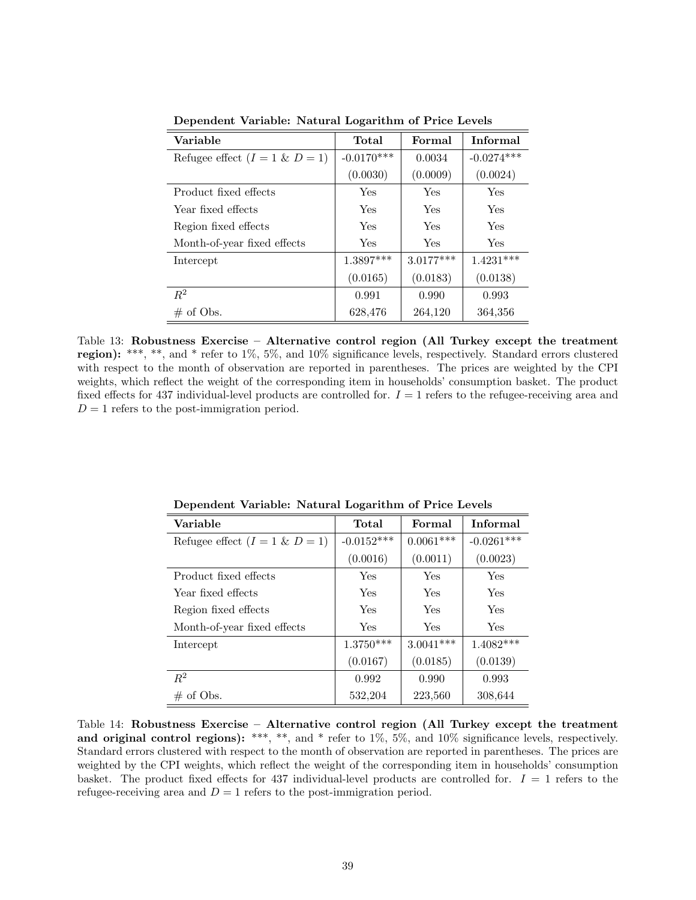| Variable                          | Total        | Formal      | <b>Informal</b> |
|-----------------------------------|--------------|-------------|-----------------|
| Refugee effect $(I = 1 \& D = 1)$ | $-0.0170***$ | 0.0034      | $-0.0274***$    |
|                                   | (0.0030)     | (0.0009)    | (0.0024)        |
| Product fixed effects             | <b>Yes</b>   | Yes         | Yes             |
| Year fixed effects                | Yes          | Yes         | Yes             |
| Region fixed effects              | Yes          | Yes         | Yes             |
| Month-of-year fixed effects       | <b>Yes</b>   | Yes         | Yes             |
| Intercept                         | 1.3897***    | $3.0177***$ | $1.4231***$     |
|                                   | (0.0165)     | (0.0183)    | (0.0138)        |
| $R^2$                             | 0.991        | 0.990       | 0.993           |
| $\#$ of Obs.                      | 628,476      | 264,120     | 364,356         |

<span id="page-40-0"></span>Dependent Variable: Natural Logarithm of Price Levels

Table 13: Robustness Exercise – Alternative control region (All Turkey except the treatment region): \*\*\*, \*\*, and \* refer to 1%, 5%, and 10% significance levels, respectively. Standard errors clustered with respect to the month of observation are reported in parentheses. The prices are weighted by the CPI weights, which reflect the weight of the corresponding item in households' consumption basket. The product fixed effects for 437 individual-level products are controlled for.  $I = 1$  refers to the refugee-receiving area and  $D = 1$  refers to the post-immigration period.

<span id="page-40-1"></span>

| Variable                          | Total        | Formal      | Informal     |
|-----------------------------------|--------------|-------------|--------------|
| Refugee effect $(I = 1 \& D = 1)$ | $-0.0152***$ | $0.0061***$ | $-0.0261***$ |
|                                   | (0.0016)     | (0.0011)    | (0.0023)     |
| Product fixed effects             | Yes          | Yes         | Yes          |
| Year fixed effects                | Yes          | Yes         | Yes          |
| Region fixed effects              | Yes          | Yes         | Yes          |
| Month-of-year fixed effects       | <b>Yes</b>   | Yes         | Yes          |
| Intercept                         | $1.3750***$  | $3.0041***$ | $1.4082***$  |
|                                   | (0.0167)     | (0.0185)    | (0.0139)     |
| $R^2$                             | 0.992        | 0.990       | 0.993        |
| $\#$ of Obs.                      | 532,204      | 223,560     | 308,644      |

Dependent Variable: Natural Logarithm of Price Levels

Table 14: Robustness Exercise – Alternative control region (All Turkey except the treatment and original control regions): \*\*\*, \*\*, and \* refer to  $1\%$ ,  $5\%$ , and  $10\%$  significance levels, respectively. Standard errors clustered with respect to the month of observation are reported in parentheses. The prices are weighted by the CPI weights, which reflect the weight of the corresponding item in households' consumption basket. The product fixed effects for 437 individual-level products are controlled for.  $I = 1$  refers to the refugee-receiving area and  $D = 1$  refers to the post-immigration period.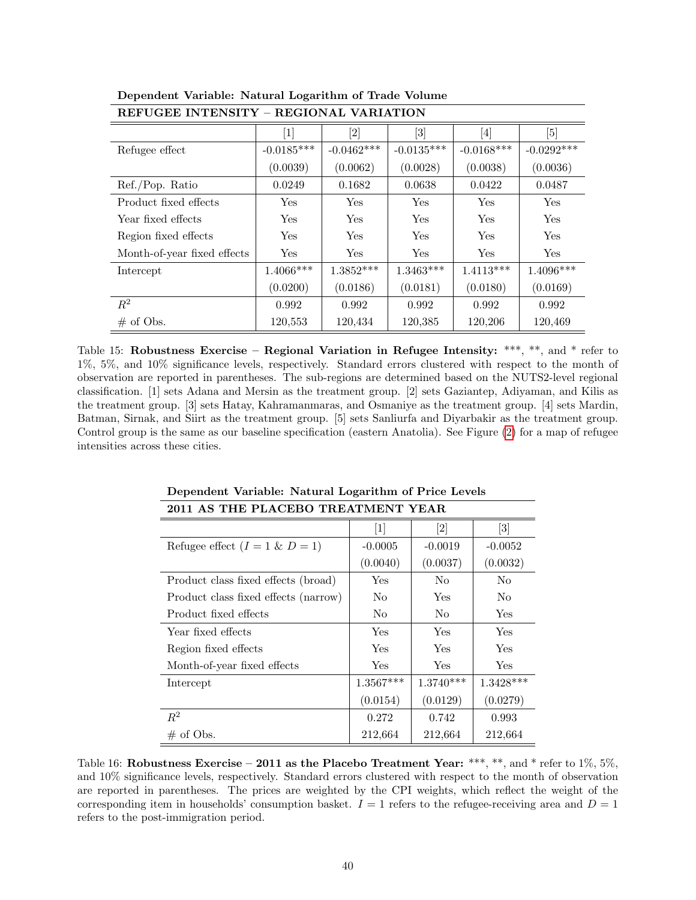| илгени пататарын – илипиян уашаныз |                      |              |              |                                                                                                                                                                             |              |  |
|------------------------------------|----------------------|--------------|--------------|-----------------------------------------------------------------------------------------------------------------------------------------------------------------------------|--------------|--|
|                                    | $\lceil 1 \rceil$    |              | [3]          | $[4] % \includegraphics[width=1\textwidth]{images/TrDiM-Architecture.png} \caption{The figure shows the results of the estimators in the left hand side.} \label{TrDiS2} %$ | [5]          |  |
| Refugee effect                     | $-0.0185***$         | $-0.0462***$ | $-0.0135***$ | $-0.0168***$                                                                                                                                                                | $-0.0292***$ |  |
|                                    | (0.0039)             | (0.0062)     | (0.0028)     | (0.0038)                                                                                                                                                                    | (0.0036)     |  |
| Ref./Pop. Ratio                    | 0.0249               | 0.1682       | 0.0638       | 0.0422                                                                                                                                                                      | 0.0487       |  |
| Product fixed effects              | Yes                  | <b>Yes</b>   | Yes          | Yes                                                                                                                                                                         | Yes          |  |
| Year fixed effects                 | Yes                  | Yes          | Yes          | Yes                                                                                                                                                                         | Yes          |  |
| Region fixed effects               | $\operatorname{Yes}$ | Yes          | Yes          | Yes                                                                                                                                                                         | Yes          |  |
| Month-of-year fixed effects        | <b>Yes</b>           | <b>Yes</b>   | <b>Yes</b>   | <b>Yes</b>                                                                                                                                                                  | <b>Yes</b>   |  |
| Intercept                          | $1.4066***$          | $1.3852***$  | $1.3463***$  | $1.4113***$                                                                                                                                                                 | $1.4096***$  |  |
|                                    | (0.0200)             | (0.0186)     | (0.0181)     | (0.0180)                                                                                                                                                                    | (0.0169)     |  |
| $R^2$                              | 0.992                | 0.992        | 0.992        | 0.992                                                                                                                                                                       | 0.992        |  |
| $\#$ of Obs.                       | 120,553              | 120,434      | 120,385      | 120,206                                                                                                                                                                     | 120,469      |  |

<span id="page-41-0"></span>Dependent Variable: Natural Logarithm of Trade Volume REFUGEE INTENSITY – REGIONAL VARIATION

Table 15: Robustness Exercise – Regional Variation in Refugee Intensity: \*\*\*, \*\*, and \* refer to 1%, 5%, and 10% significance levels, respectively. Standard errors clustered with respect to the month of observation are reported in parentheses. The sub-regions are determined based on the NUTS2-level regional classification. [1] sets Adana and Mersin as the treatment group. [2] sets Gaziantep, Adiyaman, and Kilis as the treatment group. [3] sets Hatay, Kahramanmaras, and Osmaniye as the treatment group. [4] sets Mardin, Batman, Sirnak, and Siirt as the treatment group. [5] sets Sanliurfa and Diyarbakir as the treatment group. Control group is the same as our baseline specification (eastern Anatolia). See Figure [\(2\)](#page-29-1) for a map of refugee intensities across these cities.

<span id="page-41-1"></span>

| 2011 AS THE PLACEBO TREATMENT<br>Y PAR. |                      |                                                                                                                                                                                                                                       |                   |  |  |
|-----------------------------------------|----------------------|---------------------------------------------------------------------------------------------------------------------------------------------------------------------------------------------------------------------------------------|-------------------|--|--|
|                                         | $\vert 1 \vert$      | $[2] % \begin{center} \includegraphics[width=0.3\textwidth]{images/TrDiM-Architecture.png} \end{center} \caption{The image shows the number of three different types of the estimators in the image.} \label{fig:TrDiM-Architecture}$ | $\left[ 3\right]$ |  |  |
| Refugee effect $(I = 1 \& D = 1)$       | $-0.0005$            | $-0.0019$                                                                                                                                                                                                                             | $-0.0052$         |  |  |
|                                         | (0.0040)             | (0.0037)                                                                                                                                                                                                                              | (0.0032)          |  |  |
| Product class fixed effects (broad)     | $\operatorname{Yes}$ | No                                                                                                                                                                                                                                    | No                |  |  |
| Product class fixed effects (narrow)    | No.                  | Yes                                                                                                                                                                                                                                   | N <sub>0</sub>    |  |  |
| Product fixed effects                   | No                   | N <sub>o</sub>                                                                                                                                                                                                                        | Yes               |  |  |
| Year fixed effects                      | Yes                  | Yes                                                                                                                                                                                                                                   | Yes               |  |  |
| Region fixed effects                    | Yes                  | Yes                                                                                                                                                                                                                                   | Yes               |  |  |
| Month-of-year fixed effects             | Yes                  | Yes                                                                                                                                                                                                                                   | Yes               |  |  |
| Intercept                               | $1.3567***$          | $1.3740***$                                                                                                                                                                                                                           | $1.3428***$       |  |  |
|                                         | (0.0154)             | (0.0129)                                                                                                                                                                                                                              | (0.0279)          |  |  |
| $R^2$                                   | 0.272                | 0.742                                                                                                                                                                                                                                 | 0.993             |  |  |
| $\#$ of Obs.                            | 212,664              | 212,664                                                                                                                                                                                                                               | 212,664           |  |  |

Dependent Variable: Natural Logarithm of Price Levels  $2011$  AS THE DLACEDO TREATMENT VEAD

Table 16: Robustness Exercise – 2011 as the Placebo Treatment Year: \*\*\*, \*\*, and \* refer to 1%, 5%, and 10% significance levels, respectively. Standard errors clustered with respect to the month of observation are reported in parentheses. The prices are weighted by the CPI weights, which reflect the weight of the corresponding item in households' consumption basket.  $I = 1$  refers to the refugee-receiving area and  $D = 1$ refers to the post-immigration period.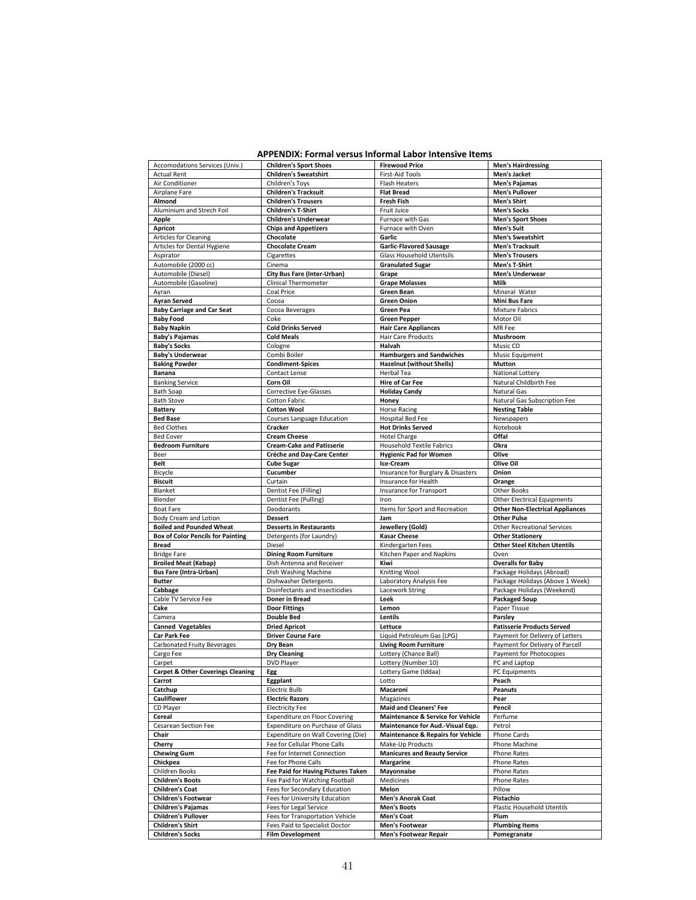#### **APPENDIX: Formal versus Informal Labor Intensive Items**

| Accomodations Services (Univ.)                     | <b>Children's Sport Shoes</b>                             | <b>Firewood Price</b>                                 | <b>Men's Hairdressing</b>              |
|----------------------------------------------------|-----------------------------------------------------------|-------------------------------------------------------|----------------------------------------|
| <b>Actual Rent</b>                                 | <b>Children's Sweatshirt</b>                              | <b>First-Aid Tools</b>                                | Men's Jacket                           |
| Air Conditioner                                    | Children's Toys                                           | <b>Flash Heaters</b>                                  | <b>Men's Pajamas</b>                   |
| Airplane Fare                                      | <b>Children's Tracksuit</b>                               | <b>Flat Bread</b>                                     | <b>Men's Pullover</b>                  |
| Almond                                             | <b>Children's Trousers</b>                                | <b>Fresh Fish</b>                                     | <b>Men's Shirt</b>                     |
| Aluminium and Strech Foil                          | <b>Children's T-Shirt</b>                                 | Fruit Juice                                           | <b>Men's Socks</b>                     |
| <b>Apple</b>                                       | <b>Children's Underwear</b>                               | Furnace with Gas                                      | <b>Men's Sport Shoes</b>               |
| <b>Apricot</b>                                     | <b>Chips and Appetizers</b>                               | Furnace with Oven                                     | <b>Men's Suit</b>                      |
| <b>Articles for Cleaning</b>                       | Chocolate                                                 | Garlic                                                | <b>Men's Sweatshirt</b>                |
| Articles for Dental Hygiene                        | <b>Chocolate Cream</b>                                    | <b>Garlic-Flavored Sausage</b>                        | <b>Men's Tracksuit</b>                 |
| Aspirator                                          | Cigarettes                                                | Glass Household Utentsils                             | <b>Men's Trousers</b>                  |
| Automobile (2000 cc)                               | Cinema                                                    | <b>Granulated Sugar</b>                               | Men's T-Shirt                          |
| Automobile (Diesel)                                | City Bus Fare (Inter-Urban)                               | Grape                                                 | <b>Men's Underwear</b>                 |
| Automobile (Gasoline)                              | <b>Clinical Thermometer</b>                               | <b>Grape Molasses</b>                                 | Milk                                   |
| Ayran                                              | Coal Price                                                | Green Bean                                            | Mineral Water                          |
|                                                    |                                                           |                                                       |                                        |
| <b>Ayran Served</b>                                | Cocoa                                                     | <b>Green Onion</b>                                    | <b>Mini Bus Fare</b>                   |
| <b>Baby Carriage and Car Seat</b>                  | Cocoa Beverages                                           | Green Pea                                             | <b>Mixture Fabrics</b>                 |
| <b>Baby Food</b>                                   | Coke                                                      | <b>Green Pepper</b>                                   | Motor Oil                              |
| <b>Baby Napkin</b>                                 | <b>Cold Drinks Served</b>                                 | <b>Hair Care Appliances</b>                           | MR Fee                                 |
| <b>Baby's Pajamas</b>                              | <b>Cold Meals</b>                                         | Hair Care Products                                    | Mushroom                               |
| <b>Baby's Socks</b>                                | Cologne                                                   | Halvah                                                | Music CD                               |
| <b>Baby's Underwear</b>                            | Combi Boiler                                              | <b>Hamburgers and Sandwiches</b>                      | Music Equipment                        |
| <b>Baking Powder</b>                               | <b>Condiment-Spices</b>                                   | <b>Hazelnut (without Shells)</b>                      | <b>Mutton</b>                          |
| <b>Banana</b>                                      | Contact Lense                                             | Herbal Tea                                            | National Lottery                       |
| <b>Banking Service</b>                             | Corn Oil                                                  | <b>Hire of Car Fee</b>                                | Natural Childbirth Fee                 |
| <b>Bath Soap</b>                                   | <b>Corrective Eye-Glasses</b>                             | <b>Holiday Candy</b>                                  | Natural Gas                            |
| <b>Bath Stove</b>                                  | Cotton Fabric                                             | Honey                                                 | Natural Gas Subscription Fee           |
| Battery                                            | <b>Cotton Wool</b>                                        | <b>Horse Racing</b>                                   | <b>Nesting Table</b>                   |
| <b>Bed Base</b>                                    | Courses Language Education                                | Hospital Bed Fee                                      | Newspapers                             |
| <b>Bed Clothes</b>                                 | Cracker                                                   | <b>Hot Drinks Served</b>                              | Notebook                               |
| <b>Bed Cover</b>                                   | <b>Cream Cheese</b>                                       | <b>Hotel Charge</b>                                   | Offal                                  |
| <b>Bedroom Furniture</b>                           | <b>Cream-Cake and Patisserie</b>                          | <b>Household Textile Fabrics</b>                      | Okra                                   |
| Beer                                               | Créche and Day-Care Center                                | <b>Hygienic Pad for Women</b>                         | Olive                                  |
| Belt                                               | <b>Cube Sugar</b>                                         | Ice-Cream                                             | Olive Oil                              |
| Bicycle                                            | Cucumber                                                  | Insurance for Burglary & Disasters                    | Onion                                  |
| <b>Biscuit</b>                                     | Curtain                                                   | Insurance for Health                                  |                                        |
|                                                    |                                                           | Insurance for Transport                               | Orange                                 |
| Blanket                                            | Dentist Fee (Filling)                                     |                                                       | <b>Other Books</b>                     |
| Blender                                            | Dentist Fee (Pulling)                                     | Iron                                                  | <b>Other Electrical Equipments</b>     |
| <b>Boat Fare</b>                                   | Deodorants                                                | Items for Sport and Recreation                        | <b>Other Non-Electrical Appliances</b> |
| Body Cream and Lotion                              | <b>Dessert</b>                                            | Jam                                                   | <b>Other Pulse</b>                     |
| <b>Boiled and Pounded Wheat</b>                    |                                                           | Jewellery (Gold)                                      | <b>Other Recreational Services</b>     |
|                                                    | <b>Desserts in Restaurants</b>                            |                                                       |                                        |
| <b>Box of Color Pencils for Painting</b>           | Detergents (for Laundry)                                  | <b>Kasar Cheese</b>                                   | <b>Other Stationery</b>                |
| <b>Bread</b>                                       | Diesel                                                    | Kindergarten Fees                                     | <b>Other Steel Kitchen Utentils</b>    |
| <b>Bridge Fare</b>                                 | <b>Dining Room Furniture</b>                              | Kitchen Paper and Napkins                             | Oven                                   |
| <b>Broiled Meat (Kebap)</b>                        | Dish Antenna and Receiver                                 | Kiwi                                                  | <b>Overalls for Baby</b>               |
| <b>Bus Fare (Intra-Urban)</b>                      | Dish Washing Machine                                      | Knitting Wool                                         | Package Holidays (Abroad)              |
| <b>Butter</b>                                      | Dishwasher Detergents                                     | Laboratory Analysis Fee                               | Package Holidays (Above 1 Week)        |
| Cabbage                                            | Disinfectants and Insecticidies                           | Lacework String                                       | Package Holidays (Weekend)             |
| Cable TV Service Fee                               | Doner in Bread                                            | Leek                                                  | <b>Packaged Soup</b>                   |
| Cake                                               | <b>Door Fittings</b>                                      | Lemon                                                 | Paper Tissue                           |
| Camera                                             | <b>Double Bed</b>                                         | Lentils                                               | Parsley                                |
| <b>Canned Vegetables</b>                           | <b>Dried Apricot</b>                                      | Lettuce                                               | <b>Patisserie Products Served</b>      |
| Car Park Fee                                       |                                                           |                                                       |                                        |
|                                                    | <b>Driver Course Fare</b>                                 | Liquid Petroleum Gas (LPG)                            | Payment for Delivery of Letters        |
| Carbonated Fruity Beverages                        | Dry Bean                                                  | <b>Living Room Furniture</b>                          | Payment for Delivery of Parcell        |
| Cargo Fee                                          | <b>Dry Cleaning</b>                                       | Lottery (Chance Ball)                                 | Payment for Photocopies                |
| Carpet                                             | <b>DVD Player</b>                                         | Lottery (Number 10)                                   | PC and Laptop                          |
| <b>Carpet &amp; Other Coverings Cleaning</b>       | <b>Egg</b>                                                | Lottery Game (iddaa                                   | PC Equipments                          |
| Carrot                                             | Eggplant                                                  | Lotto                                                 | Peach                                  |
| Catchup                                            | <b>Electric Bulb</b>                                      | Macaroni                                              | Peanuts                                |
| Cauliflower                                        | <b>Electric Razors</b>                                    | Magazines                                             | Pear                                   |
| CD Player                                          | <b>Electricity Fee</b>                                    | <b>Maid and Cleaners' Fee</b>                         | Pencil                                 |
| Cereal                                             | <b>Expenditure on Floor Covering</b>                      | <b>Maintenance &amp; Service for Vehicle</b>          | Perfume                                |
| Cesarean Section Fee                               | Expenditure on Purchase of Glass                          | Maintenance for Aud.-Visual Eqp.                      | Petrol                                 |
| Chair                                              | Expenditure on Wall Covering (Die)                        | <b>Maintenance &amp; Repairs for Vehicle</b>          | Phone Cards                            |
| Cherry                                             | Fee for Cellular Phone Calls                              | Make-Up Products                                      | Phone Machine                          |
| <b>Chewing Gum</b>                                 | Fee for Internet Connection                               | <b>Manicures and Beauty Service</b>                   | <b>Phone Rates</b>                     |
| Chickpea                                           | Fee for Phone Calls                                       | Margarine                                             | Phone Rates                            |
| Children Books                                     | Fee Paid for Having Pictures Taken                        | Mayonnaise                                            | <b>Phone Rates</b>                     |
| <b>Children's Boots</b>                            | Fee Paid for Watching Football                            | Medicines                                             | Phone Rates                            |
| <b>Children's Coat</b>                             | Fees for Secondary Education                              | Melon                                                 | Pillow                                 |
|                                                    | Fees for University Education                             |                                                       | Pistachio                              |
| <b>Children's Footwear</b>                         |                                                           | <b>Men's Anorak Coat</b>                              |                                        |
| <b>Children's Pajamas</b>                          | Fees for Legal Service                                    | <b>Men's Boots</b>                                    | Plastic Household Utentils             |
| <b>Children's Pullover</b>                         | Fees for Transportation Vehicle                           | <b>Men's Coat</b>                                     | Plum                                   |
| <b>Children's Shirt</b><br><b>Children's Socks</b> | Fees Paid to Specialist Doctor<br><b>Film Development</b> | <b>Men's Footwear</b><br><b>Men's Footwear Repair</b> | <b>Plumbing Items</b><br>Pomegranate   |